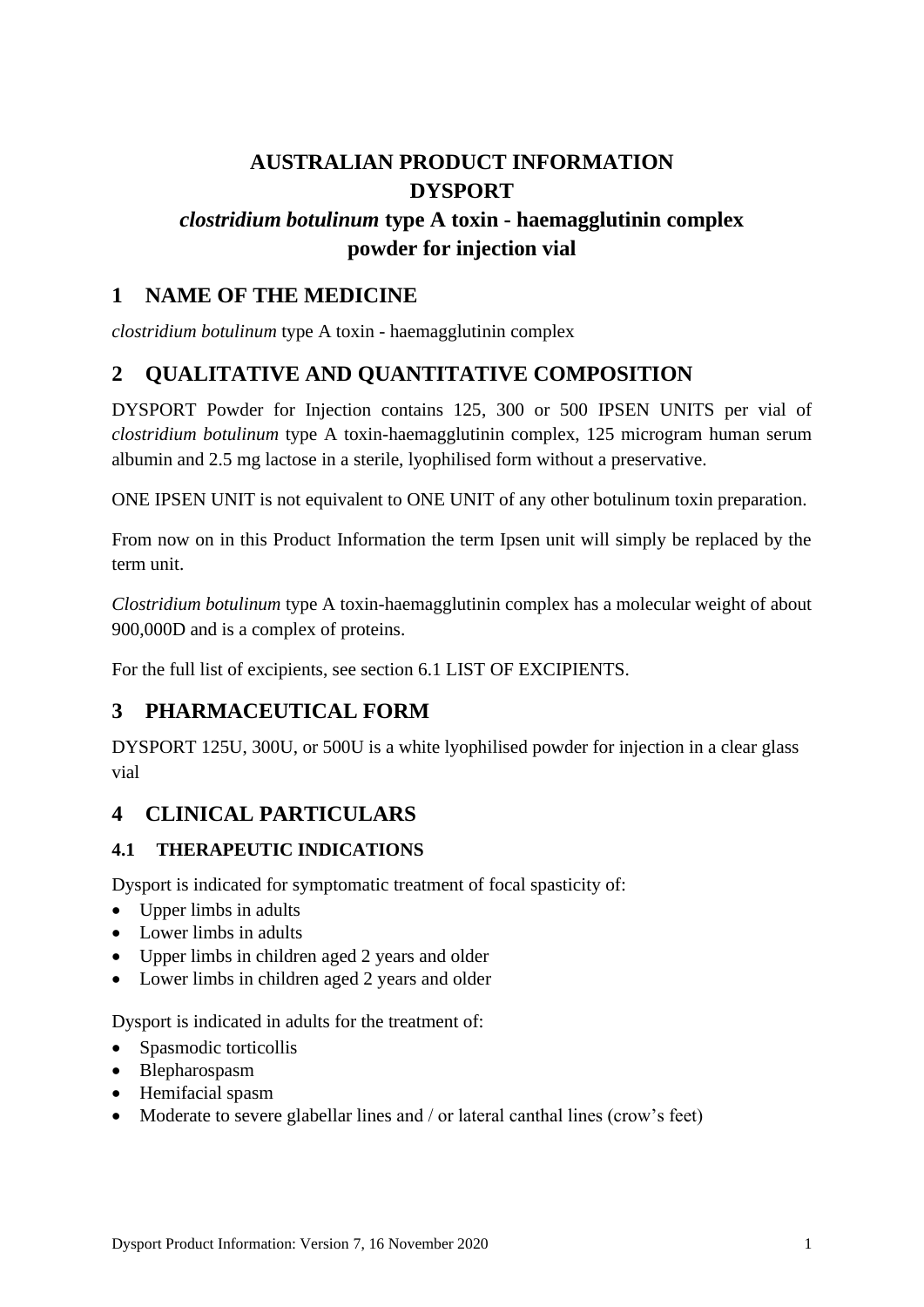# **AUSTRALIAN PRODUCT INFORMATION DYSPORT**

# *clostridium botulinum* **type A toxin - haemagglutinin complex powder for injection vial**

# **1 NAME OF THE MEDICINE**

*clostridium botulinum* type A toxin - haemagglutinin complex

# **2 QUALITATIVE AND QUANTITATIVE COMPOSITION**

DYSPORT Powder for Injection contains 125, 300 or 500 IPSEN UNITS per vial of *clostridium botulinum* type A toxin-haemagglutinin complex, 125 microgram human serum albumin and 2.5 mg lactose in a sterile, lyophilised form without a preservative.

ONE IPSEN UNIT is not equivalent to ONE UNIT of any other botulinum toxin preparation.

From now on in this Product Information the term Ipsen unit will simply be replaced by the term unit.

*Clostridium botulinum* type A toxin-haemagglutinin complex has a molecular weight of about 900,000D and is a complex of proteins.

For the full list of excipients, see section 6.1 LIST OF EXCIPIENTS.

# **3 PHARMACEUTICAL FORM**

DYSPORT 125U, 300U, or 500U is a white lyophilised powder for injection in a clear glass vial

# **4 CLINICAL PARTICULARS**

# **4.1 THERAPEUTIC INDICATIONS**

Dysport is indicated for symptomatic treatment of focal spasticity of:

- Upper limbs in adults
- Lower limbs in adults
- Upper limbs in children aged 2 years and older
- Lower limbs in children aged 2 years and older

Dysport is indicated in adults for the treatment of:

- Spasmodic torticollis
- Blepharospasm
- Hemifacial spasm
- Moderate to severe glabellar lines and / or lateral canthal lines (crow's feet)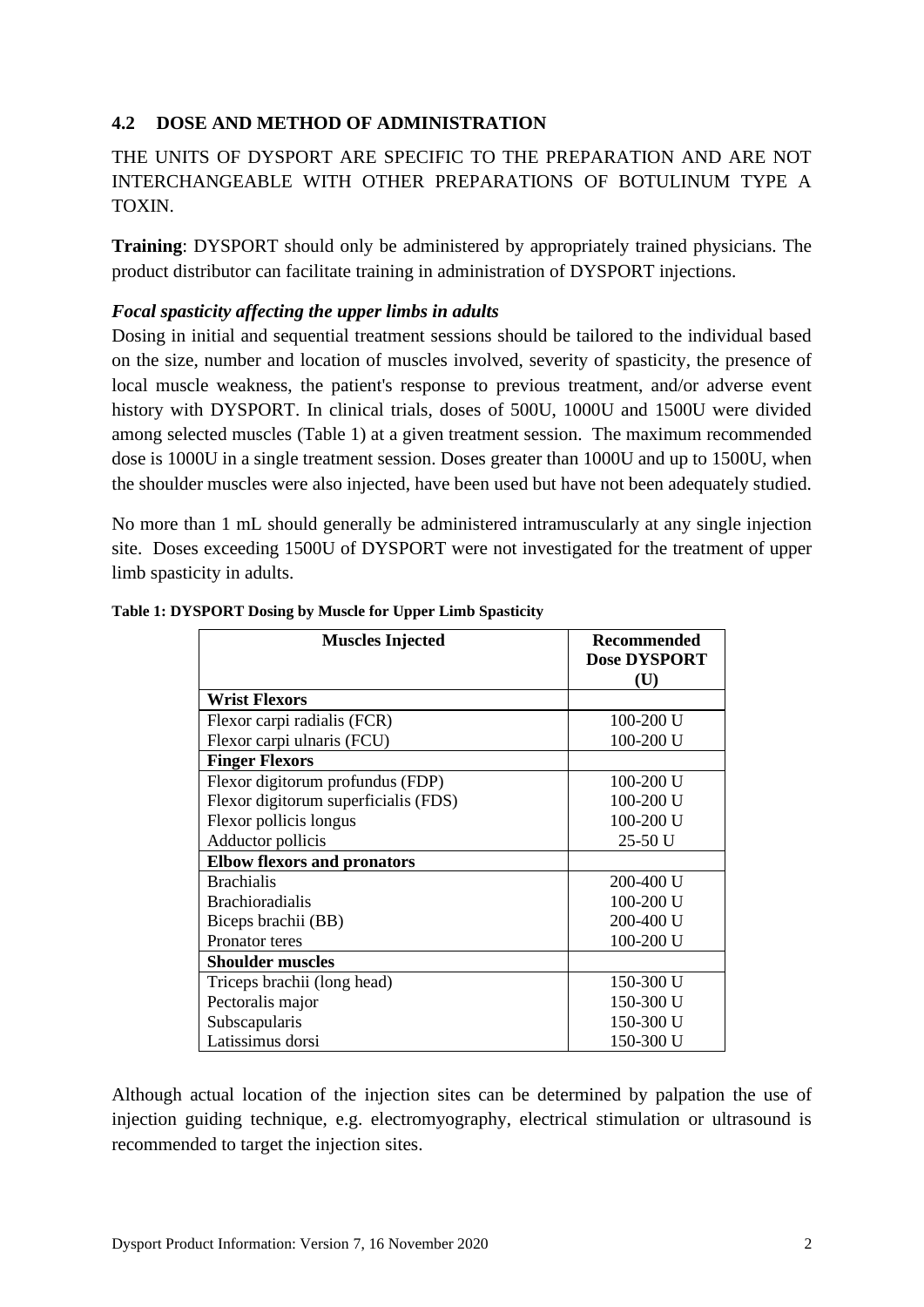# **4.2 DOSE AND METHOD OF ADMINISTRATION**

# THE UNITS OF DYSPORT ARE SPECIFIC TO THE PREPARATION AND ARE NOT INTERCHANGEABLE WITH OTHER PREPARATIONS OF BOTULINUM TYPE A TOXIN.

**Training**: DYSPORT should only be administered by appropriately trained physicians. The product distributor can facilitate training in administration of DYSPORT injections.

## *Focal spasticity affecting the upper limbs in adults*

Dosing in initial and sequential treatment sessions should be tailored to the individual based on the size, number and location of muscles involved, severity of spasticity, the presence of local muscle weakness, the patient's response to previous treatment, and/or adverse event history with DYSPORT. In clinical trials, doses of 500U, 1000U and 1500U were divided among selected muscles [\(Table 1\)](#page-1-0) at a given treatment session. The maximum recommended dose is 1000U in a single treatment session. Doses greater than 1000U and up to 1500U, when the shoulder muscles were also injected, have been used but have not been adequately studied.

No more than 1 mL should generally be administered intramuscularly at any single injection site. Doses exceeding 1500U of DYSPORT were not investigated for the treatment of upper limb spasticity in adults.

| <b>Muscles Injected</b>              | <b>Recommended</b><br><b>Dose DYSPORT</b><br>(U) |
|--------------------------------------|--------------------------------------------------|
| <b>Wrist Flexors</b>                 |                                                  |
| Flexor carpi radialis (FCR)          | $100 - 200$ U                                    |
| Flexor carpi ulnaris (FCU)           | 100-200 U                                        |
| <b>Finger Flexors</b>                |                                                  |
| Flexor digitorum profundus (FDP)     | $100 - 200$ U                                    |
| Flexor digitorum superficialis (FDS) | 100-200 U                                        |
| Flexor pollicis longus               | 100-200 U                                        |
| Adductor pollicis                    | 25-50 U                                          |
| <b>Elbow flexors and pronators</b>   |                                                  |
| <b>Brachialis</b>                    | 200-400 U                                        |
| <b>Brachioradialis</b>               | 100-200 U                                        |
| Biceps brachii (BB)                  | 200-400 U                                        |
| Pronator teres                       | 100-200 U                                        |
| <b>Shoulder muscles</b>              |                                                  |
| Triceps brachii (long head)          | 150-300 U                                        |
| Pectoralis major                     | 150-300 U                                        |
| Subscapularis                        | 150-300 U                                        |
| Latissimus dorsi                     | 150-300 U                                        |

#### <span id="page-1-0"></span>**Table 1: DYSPORT Dosing by Muscle for Upper Limb Spasticity**

Although actual location of the injection sites can be determined by palpation the use of injection guiding technique, e.g. electromyography, electrical stimulation or ultrasound is recommended to target the injection sites.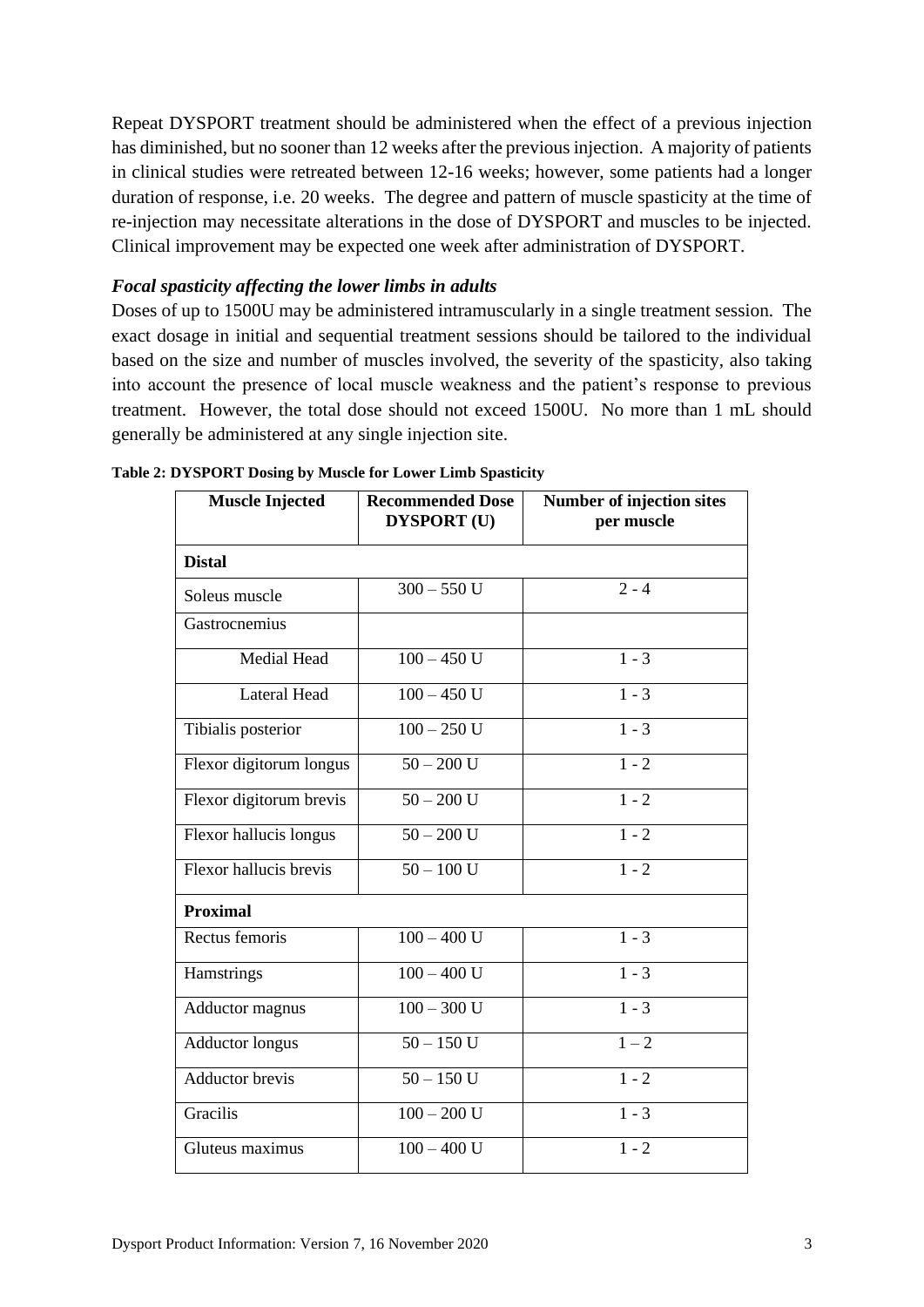Repeat DYSPORT treatment should be administered when the effect of a previous injection has diminished, but no sooner than 12 weeks after the previous injection. A majority of patients in clinical studies were retreated between 12-16 weeks; however, some patients had a longer duration of response, i.e. 20 weeks. The degree and pattern of muscle spasticity at the time of re-injection may necessitate alterations in the dose of DYSPORT and muscles to be injected. Clinical improvement may be expected one week after administration of DYSPORT.

#### *Focal spasticity affecting the lower limbs in adults*

Doses of up to 1500U may be administered intramuscularly in a single treatment session. The exact dosage in initial and sequential treatment sessions should be tailored to the individual based on the size and number of muscles involved, the severity of the spasticity, also taking into account the presence of local muscle weakness and the patient's response to previous treatment. However, the total dose should not exceed 1500U. No more than 1 mL should generally be administered at any single injection site.

| <b>Muscle Injected</b>  | <b>Recommended Dose</b><br><b>DYSPORT</b> (U) | Number of injection sites<br>per muscle |
|-------------------------|-----------------------------------------------|-----------------------------------------|
| <b>Distal</b>           |                                               |                                         |
| Soleus muscle           | $300 - 550$ U                                 | $2 - 4$                                 |
| Gastrocnemius           |                                               |                                         |
| Medial Head             | $100 - 450$ U                                 | $1 - 3$                                 |
| <b>Lateral Head</b>     | $100 - 450$ U                                 | $1 - 3$                                 |
| Tibialis posterior      | $100 - 250$ U                                 | $1 - 3$                                 |
| Flexor digitorum longus | $50 - 200$ U                                  | $1 - 2$                                 |
| Flexor digitorum brevis | $\overline{50} - 200$ U                       | $1 - 2$                                 |
| Flexor hallucis longus  | $50 - 200$ U                                  | $1 - 2$                                 |
| Flexor hallucis brevis  | $50 - 100$ U                                  | $1 - 2$                                 |
| <b>Proximal</b>         |                                               |                                         |
| Rectus femoris          | $100 - 400$ U                                 | $1 - 3$                                 |
| Hamstrings              | $100 - 400$ U                                 | $1 - 3$                                 |
| <b>Adductor magnus</b>  | $100 - 300$ U                                 | $1 - 3$                                 |
| <b>Adductor longus</b>  | $50 - 150$ U                                  | $1 - 2$                                 |
| <b>Adductor</b> brevis  | $50 - 150$ U                                  | $1 - 2$                                 |
| Gracilis                | $100 - 200$ U                                 | $1 - 3$                                 |
| Gluteus maximus         | $100 - 400$ U                                 | $1 - 2$                                 |

**Table 2: DYSPORT Dosing by Muscle for Lower Limb Spasticity**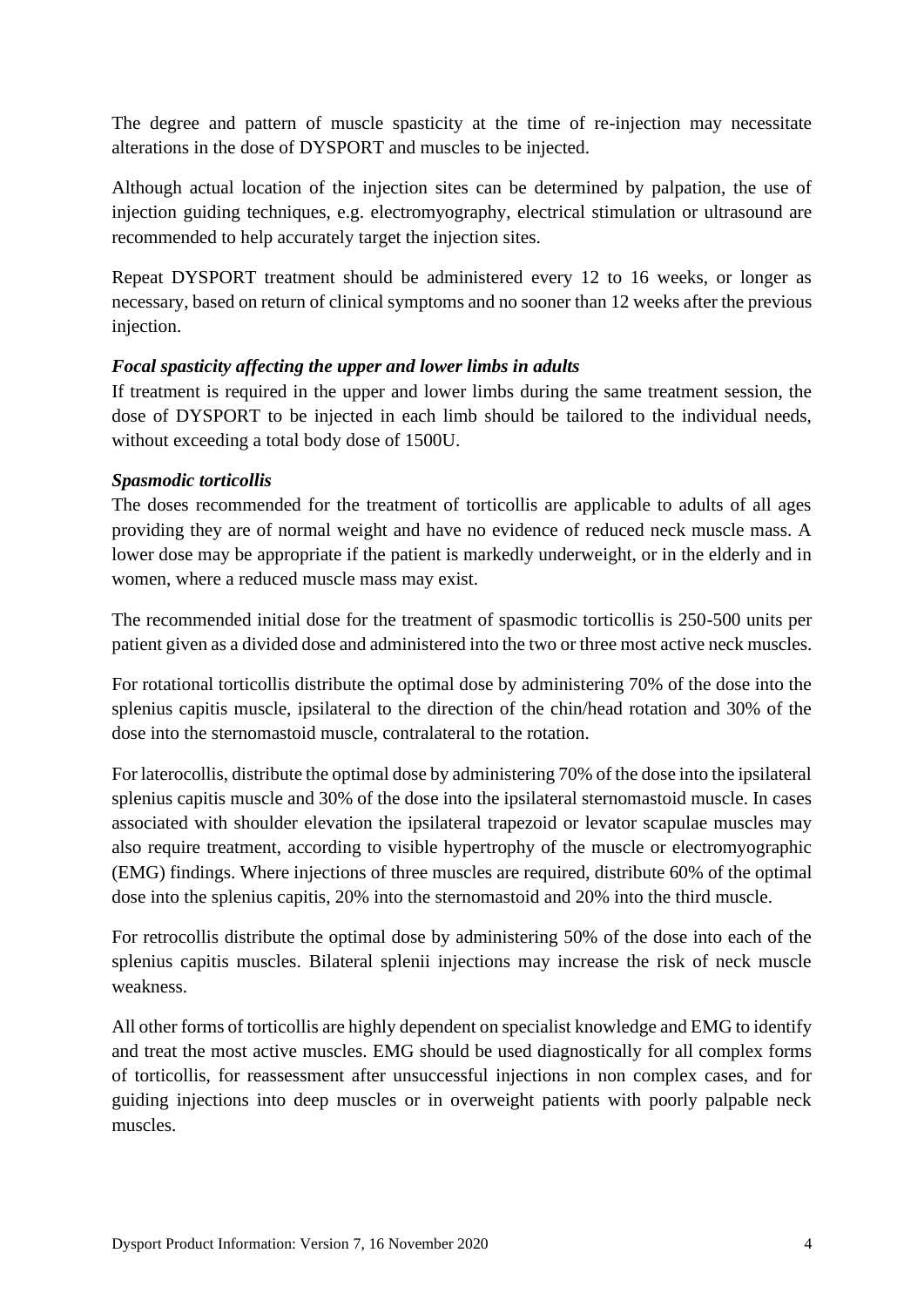The degree and pattern of muscle spasticity at the time of re-injection may necessitate alterations in the dose of DYSPORT and muscles to be injected.

Although actual location of the injection sites can be determined by palpation, the use of injection guiding techniques, e.g. electromyography, electrical stimulation or ultrasound are recommended to help accurately target the injection sites.

Repeat DYSPORT treatment should be administered every 12 to 16 weeks, or longer as necessary, based on return of clinical symptoms and no sooner than 12 weeks after the previous injection.

## *Focal spasticity affecting the upper and lower limbs in adults*

If treatment is required in the upper and lower limbs during the same treatment session, the dose of DYSPORT to be injected in each limb should be tailored to the individual needs, without exceeding a total body dose of 1500U.

## *Spasmodic torticollis*

The doses recommended for the treatment of torticollis are applicable to adults of all ages providing they are of normal weight and have no evidence of reduced neck muscle mass. A lower dose may be appropriate if the patient is markedly underweight, or in the elderly and in women, where a reduced muscle mass may exist.

The recommended initial dose for the treatment of spasmodic torticollis is 250-500 units per patient given as a divided dose and administered into the two or three most active neck muscles.

For rotational torticollis distribute the optimal dose by administering 70% of the dose into the splenius capitis muscle, ipsilateral to the direction of the chin/head rotation and 30% of the dose into the sternomastoid muscle, contralateral to the rotation.

For laterocollis, distribute the optimal dose by administering 70% of the dose into the ipsilateral splenius capitis muscle and 30% of the dose into the ipsilateral sternomastoid muscle. In cases associated with shoulder elevation the ipsilateral trapezoid or levator scapulae muscles may also require treatment, according to visible hypertrophy of the muscle or electromyographic (EMG) findings. Where injections of three muscles are required, distribute 60% of the optimal dose into the splenius capitis, 20% into the sternomastoid and 20% into the third muscle.

For retrocollis distribute the optimal dose by administering 50% of the dose into each of the splenius capitis muscles. Bilateral splenii injections may increase the risk of neck muscle weakness.

All other forms of torticollis are highly dependent on specialist knowledge and EMG to identify and treat the most active muscles. EMG should be used diagnostically for all complex forms of torticollis, for reassessment after unsuccessful injections in non complex cases, and for guiding injections into deep muscles or in overweight patients with poorly palpable neck muscles.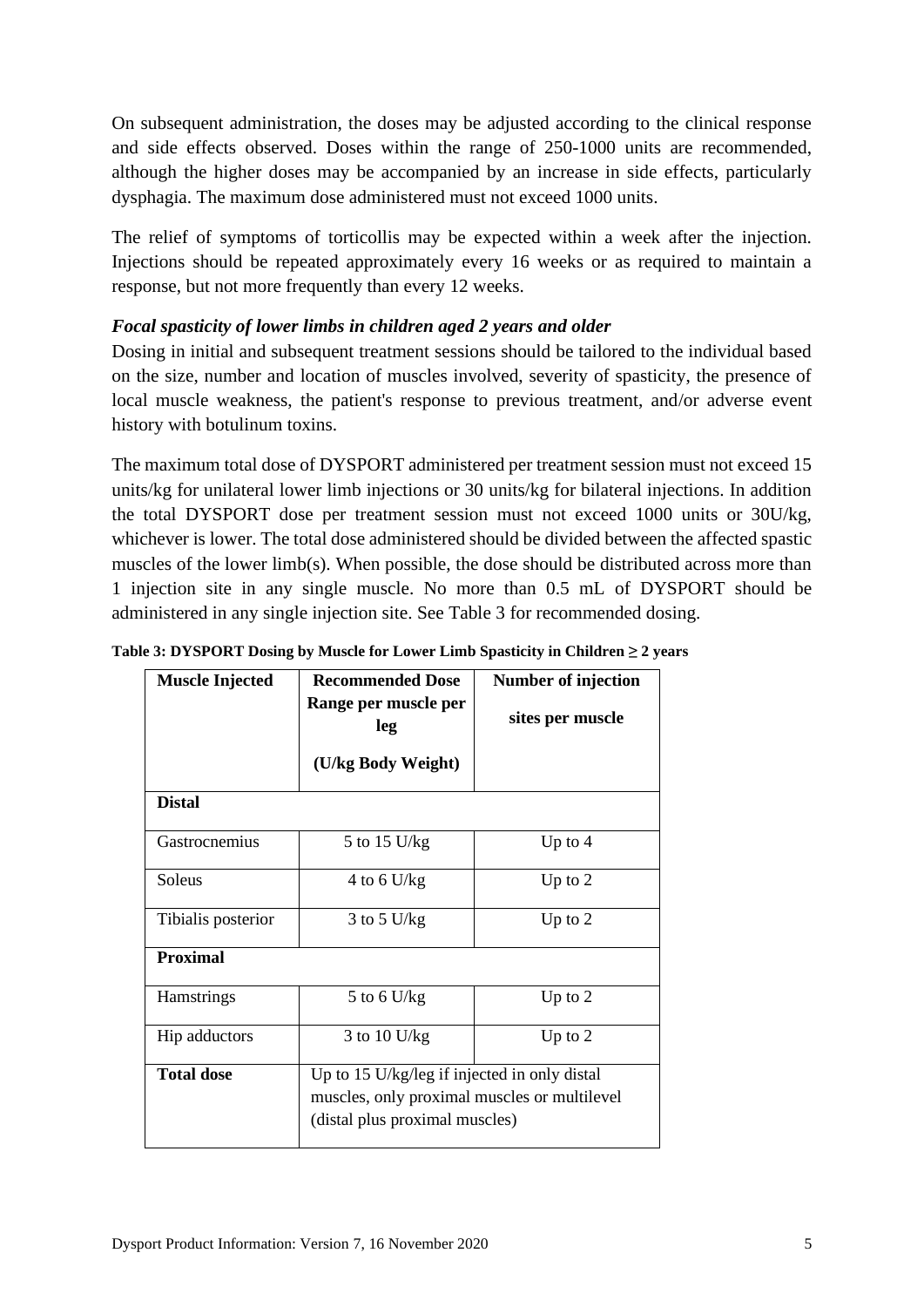On subsequent administration, the doses may be adjusted according to the clinical response and side effects observed. Doses within the range of 250-1000 units are recommended, although the higher doses may be accompanied by an increase in side effects, particularly dysphagia. The maximum dose administered must not exceed 1000 units.

The relief of symptoms of torticollis may be expected within a week after the injection. Injections should be repeated approximately every 16 weeks or as required to maintain a response, but not more frequently than every 12 weeks.

## *Focal spasticity of lower limbs in children aged 2 years and older*

Dosing in initial and subsequent treatment sessions should be tailored to the individual based on the size, number and location of muscles involved, severity of spasticity, the presence of local muscle weakness, the patient's response to previous treatment, and/or adverse event history with botulinum toxins.

The maximum total dose of DYSPORT administered per treatment session must not exceed 15 units/kg for unilateral lower limb injections or 30 units/kg for bilateral injections. In addition the total DYSPORT dose per treatment session must not exceed 1000 units or 30U/kg, whichever is lower. The total dose administered should be divided between the affected spastic muscles of the lower limb(s). When possible, the dose should be distributed across more than 1 injection site in any single muscle. No more than 0.5 mL of DYSPORT should be administered in any single injection site. See [Table 3](#page-4-0) for recommended dosing.

<span id="page-4-0"></span>

|               |  |  |  | Table 3: DYSPORT Dosing by Muscle for Lower Limb Spasticity in Children $\geq 2$ years |                |  |  |  |  |  |
|---------------|--|--|--|----------------------------------------------------------------------------------------|----------------|--|--|--|--|--|
| lar iti in In |  |  |  |                                                                                        | $\blacksquare$ |  |  |  |  |  |

| <b>Muscle Injected</b> | <b>Recommended Dose</b>                      | <b>Number of injection</b> |  |  |
|------------------------|----------------------------------------------|----------------------------|--|--|
|                        | Range per muscle per                         |                            |  |  |
|                        | leg                                          | sites per muscle           |  |  |
|                        |                                              |                            |  |  |
|                        | (U/kg Body Weight)                           |                            |  |  |
| <b>Distal</b>          |                                              |                            |  |  |
|                        |                                              |                            |  |  |
| Gastrocnemius          | 5 to 15 U/kg                                 | Up to $4$                  |  |  |
| Soleus                 | 4 to 6 U/kg                                  | Up to $2$                  |  |  |
| Tibialis posterior     | $3$ to $5$ U/kg                              | Up to $2$                  |  |  |
| <b>Proximal</b>        |                                              |                            |  |  |
| Hamstrings             | 5 to 6 U/kg                                  | Up to $2$                  |  |  |
| Hip adductors          | 3 to 10 U/kg                                 | Up to $2$                  |  |  |
| <b>Total dose</b>      | Up to 15 U/kg/leg if injected in only distal |                            |  |  |
|                        | muscles, only proximal muscles or multilevel |                            |  |  |
|                        | (distal plus proximal muscles)               |                            |  |  |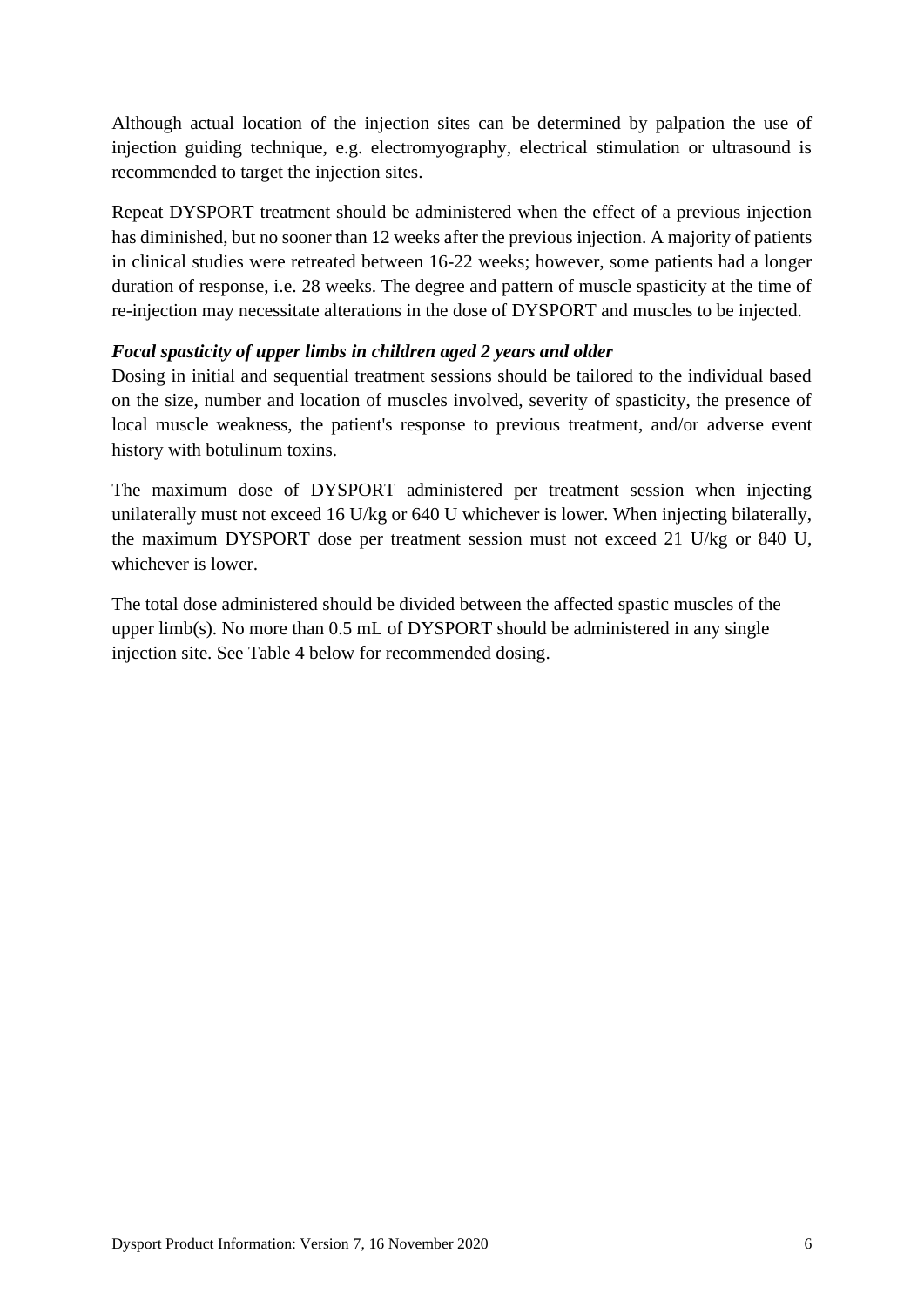Although actual location of the injection sites can be determined by palpation the use of injection guiding technique, e.g. electromyography, electrical stimulation or ultrasound is recommended to target the injection sites.

Repeat DYSPORT treatment should be administered when the effect of a previous injection has diminished, but no sooner than 12 weeks after the previous injection. A majority of patients in clinical studies were retreated between 16-22 weeks; however, some patients had a longer duration of response, i.e. 28 weeks. The degree and pattern of muscle spasticity at the time of re-injection may necessitate alterations in the dose of DYSPORT and muscles to be injected.

## *Focal spasticity of upper limbs in children aged 2 years and older*

Dosing in initial and sequential treatment sessions should be tailored to the individual based on the size, number and location of muscles involved, severity of spasticity, the presence of local muscle weakness, the patient's response to previous treatment, and/or adverse event history with botulinum toxins.

The maximum dose of DYSPORT administered per treatment session when injecting unilaterally must not exceed 16 U/kg or 640 U whichever is lower. When injecting bilaterally, the maximum DYSPORT dose per treatment session must not exceed 21 U/kg or 840 U, whichever is lower.

The total dose administered should be divided between the affected spastic muscles of the upper limb(s). No more than 0.5 mL of DYSPORT should be administered in any single injection site. See [Table 4](#page-6-0) below for recommended dosing.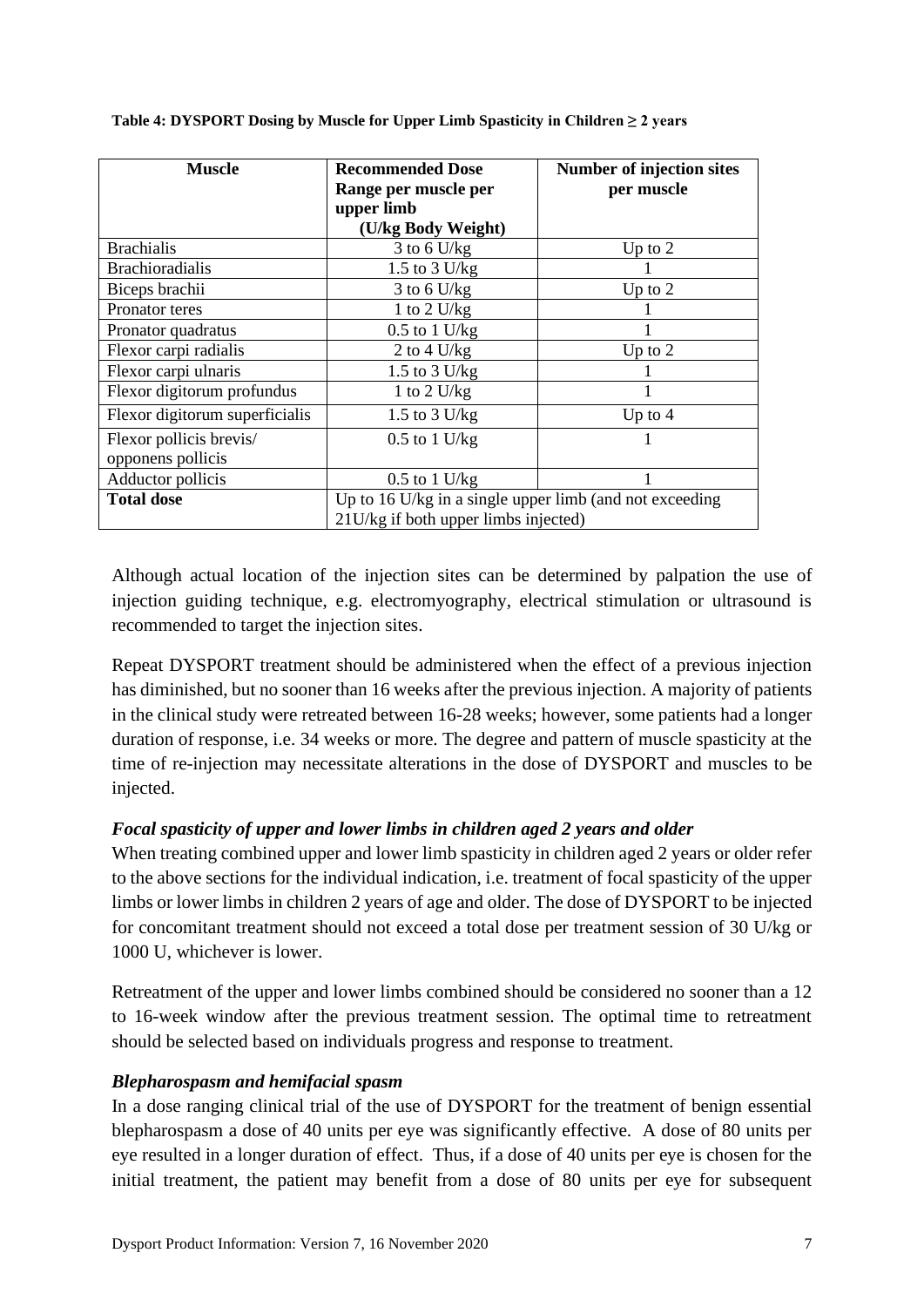| <b>Muscle</b>                  | <b>Recommended Dose</b>                                 | <b>Number of injection sites</b> |  |  |
|--------------------------------|---------------------------------------------------------|----------------------------------|--|--|
|                                | Range per muscle per                                    | per muscle                       |  |  |
|                                | upper limb                                              |                                  |  |  |
|                                | (U/kg Body Weight)                                      |                                  |  |  |
| <b>Brachialis</b>              | $3$ to 6 U/kg                                           | Up to $2$                        |  |  |
| <b>Brachioradialis</b>         | 1.5 to $3$ U/kg                                         |                                  |  |  |
| Biceps brachii                 | $3$ to 6 U/kg                                           | Up to $2$                        |  |  |
| Pronator teres                 | 1 to 2 $U/kg$                                           |                                  |  |  |
| Pronator quadratus             | $0.5$ to 1 U/kg                                         |                                  |  |  |
| Flexor carpi radialis          | 2 to 4 $U/kg$                                           | Up to $2$                        |  |  |
| Flexor carpi ulnaris           | 1.5 to $3$ U/kg                                         |                                  |  |  |
| Flexor digitorum profundus     | 1 to 2 U/kg                                             |                                  |  |  |
| Flexor digitorum superficialis | 1.5 to $3$ U/kg                                         | Up to $4$                        |  |  |
| Flexor pollicis brevis/        | $0.5$ to $1$ U/kg                                       |                                  |  |  |
| opponens pollicis              |                                                         |                                  |  |  |
| Adductor pollicis              | $0.5$ to 1 U/kg                                         |                                  |  |  |
| <b>Total dose</b>              | Up to 16 U/kg in a single upper limb (and not exceeding |                                  |  |  |
|                                | 21U/kg if both upper limbs injected)                    |                                  |  |  |

<span id="page-6-0"></span>**Table 4: DYSPORT Dosing by Muscle for Upper Limb Spasticity in Children ≥ 2 years**

Although actual location of the injection sites can be determined by palpation the use of injection guiding technique, e.g. electromyography, electrical stimulation or ultrasound is recommended to target the injection sites.

Repeat DYSPORT treatment should be administered when the effect of a previous injection has diminished, but no sooner than 16 weeks after the previous injection. A majority of patients in the clinical study were retreated between 16-28 weeks; however, some patients had a longer duration of response, i.e. 34 weeks or more. The degree and pattern of muscle spasticity at the time of re-injection may necessitate alterations in the dose of DYSPORT and muscles to be injected.

## *Focal spasticity of upper and lower limbs in children aged 2 years and older*

When treating combined upper and lower limb spasticity in children aged 2 years or older refer to the above sections for the individual indication, i.e. treatment of focal spasticity of the upper limbs or lower limbs in children 2 years of age and older. The dose of DYSPORT to be injected for concomitant treatment should not exceed a total dose per treatment session of 30 U/kg or 1000 U, whichever is lower.

Retreatment of the upper and lower limbs combined should be considered no sooner than a 12 to 16-week window after the previous treatment session. The optimal time to retreatment should be selected based on individuals progress and response to treatment.

#### *Blepharospasm and hemifacial spasm*

In a dose ranging clinical trial of the use of DYSPORT for the treatment of benign essential blepharospasm a dose of 40 units per eye was significantly effective. A dose of 80 units per eye resulted in a longer duration of effect. Thus, if a dose of 40 units per eye is chosen for the initial treatment, the patient may benefit from a dose of 80 units per eye for subsequent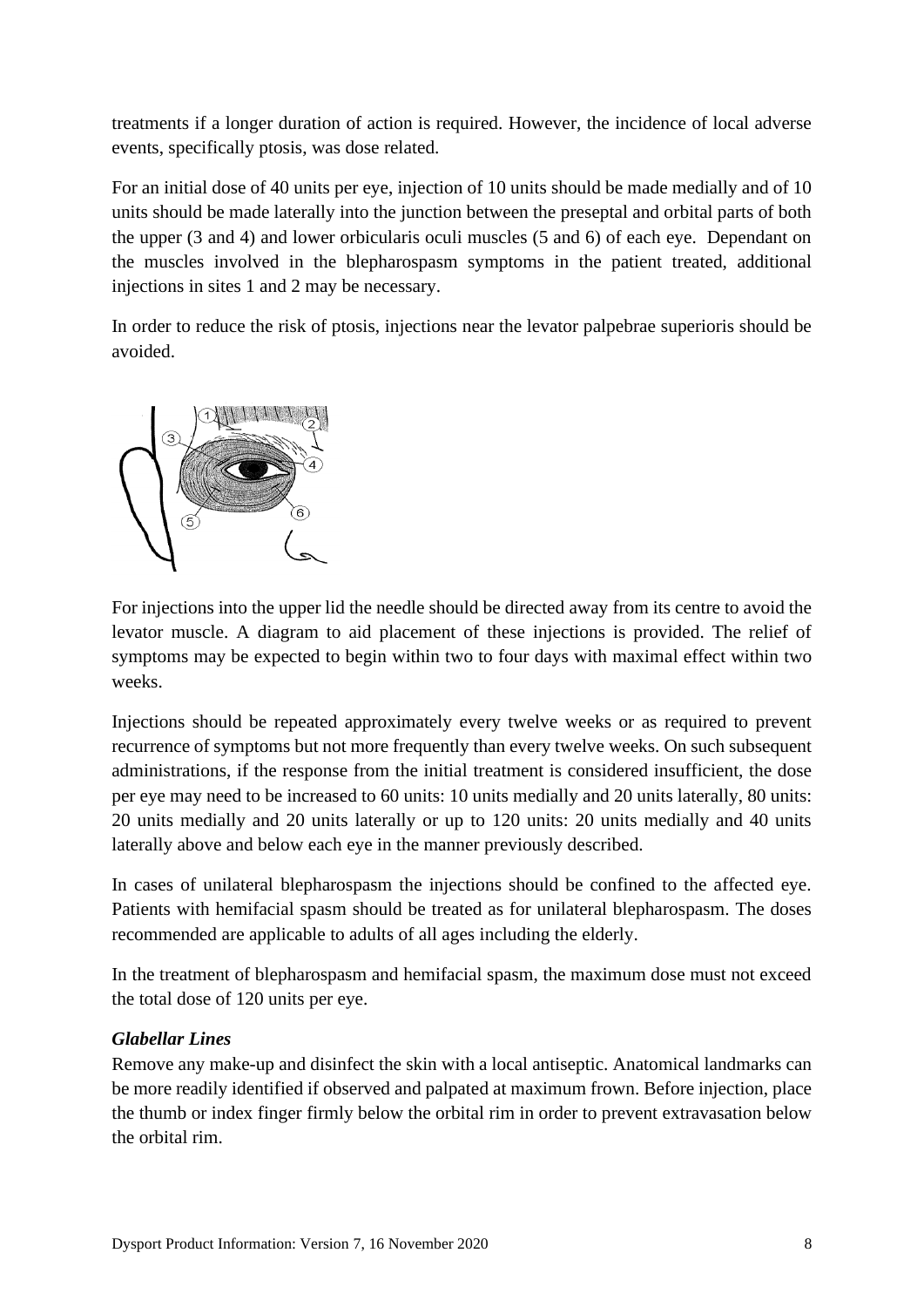treatments if a longer duration of action is required. However, the incidence of local adverse events, specifically ptosis, was dose related.

For an initial dose of 40 units per eye, injection of 10 units should be made medially and of 10 units should be made laterally into the junction between the preseptal and orbital parts of both the upper (3 and 4) and lower orbicularis oculi muscles (5 and 6) of each eye. Dependant on the muscles involved in the blepharospasm symptoms in the patient treated, additional injections in sites 1 and 2 may be necessary.

In order to reduce the risk of ptosis, injections near the levator palpebrae superioris should be avoided.



For injections into the upper lid the needle should be directed away from its centre to avoid the levator muscle. A diagram to aid placement of these injections is provided. The relief of symptoms may be expected to begin within two to four days with maximal effect within two weeks.

Injections should be repeated approximately every twelve weeks or as required to prevent recurrence of symptoms but not more frequently than every twelve weeks. On such subsequent administrations, if the response from the initial treatment is considered insufficient, the dose per eye may need to be increased to 60 units: 10 units medially and 20 units laterally, 80 units: 20 units medially and 20 units laterally or up to 120 units: 20 units medially and 40 units laterally above and below each eye in the manner previously described.

In cases of unilateral blepharospasm the injections should be confined to the affected eye. Patients with hemifacial spasm should be treated as for unilateral blepharospasm. The doses recommended are applicable to adults of all ages including the elderly.

In the treatment of blepharospasm and hemifacial spasm, the maximum dose must not exceed the total dose of 120 units per eye.

# *Glabellar Lines*

Remove any make-up and disinfect the skin with a local antiseptic. Anatomical landmarks can be more readily identified if observed and palpated at maximum frown. Before injection, place the thumb or index finger firmly below the orbital rim in order to prevent extravasation below the orbital rim.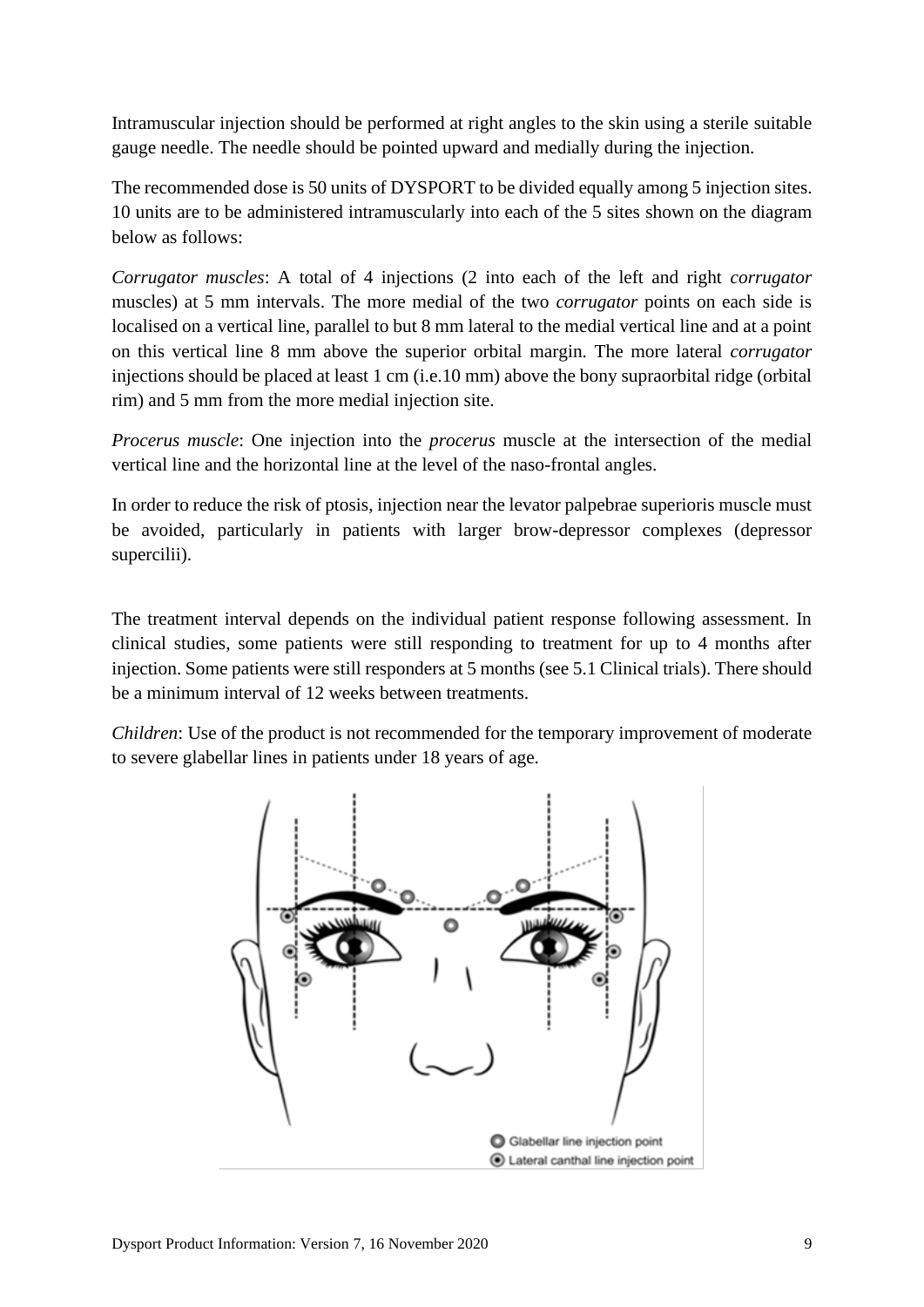Intramuscular injection should be performed at right angles to the skin using a sterile suitable gauge needle. The needle should be pointed upward and medially during the injection.

The recommended dose is 50 units of DYSPORT to be divided equally among 5 injection sites. 10 units are to be administered intramuscularly into each of the 5 sites shown on the diagram below as follows:

*Corrugator muscles*: A total of 4 injections (2 into each of the left and right *corrugator* muscles) at 5 mm intervals. The more medial of the two *corrugator* points on each side is localised on a vertical line, parallel to but 8 mm lateral to the medial vertical line and at a point on this vertical line 8 mm above the superior orbital margin. The more lateral *corrugator* injections should be placed at least 1 cm (i.e.10 mm) above the bony supraorbital ridge (orbital rim) and 5 mm from the more medial injection site.

*Procerus muscle*: One injection into the *procerus* muscle at the intersection of the medial vertical line and the horizontal line at the level of the naso-frontal angles.

In order to reduce the risk of ptosis, injection near the levator palpebrae superioris muscle must be avoided, particularly in patients with larger brow-depressor complexes (depressor supercilii).

The treatment interval depends on the individual patient response following assessment. In clinical studies, some patients were still responding to treatment for up to 4 months after injection. Some patients were still responders at 5 months (see 5.1 Clinical trials). There should be a minimum interval of 12 weeks between treatments.

*Children*: Use of the product is not recommended for the temporary improvement of moderate to severe glabellar lines in patients under 18 years of age.

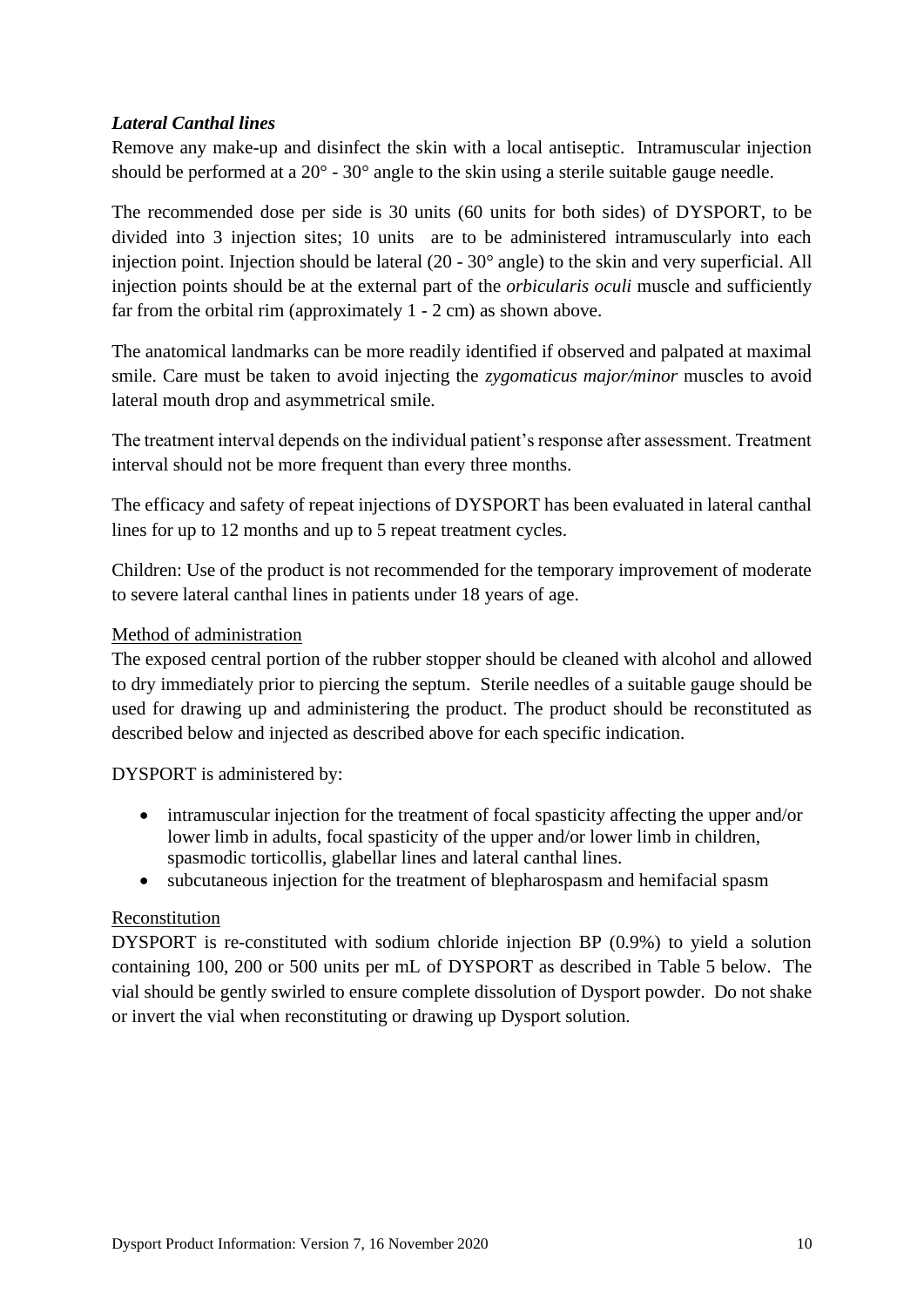## *Lateral Canthal lines*

Remove any make-up and disinfect the skin with a local antiseptic. Intramuscular injection should be performed at a 20° - 30° angle to the skin using a sterile suitable gauge needle.

The recommended dose per side is 30 units (60 units for both sides) of DYSPORT, to be divided into 3 injection sites; 10 units are to be administered intramuscularly into each injection point. Injection should be lateral (20 - 30° angle) to the skin and very superficial. All injection points should be at the external part of the *orbicularis oculi* muscle and sufficiently far from the orbital rim (approximately 1 - 2 cm) as shown above.

The anatomical landmarks can be more readily identified if observed and palpated at maximal smile. Care must be taken to avoid injecting the *zygomaticus major/minor* muscles to avoid lateral mouth drop and asymmetrical smile.

The treatment interval depends on the individual patient's response after assessment. Treatment interval should not be more frequent than every three months.

The efficacy and safety of repeat injections of DYSPORT has been evaluated in lateral canthal lines for up to 12 months and up to 5 repeat treatment cycles.

Children: Use of the product is not recommended for the temporary improvement of moderate to severe lateral canthal lines in patients under 18 years of age.

## Method of administration

The exposed central portion of the rubber stopper should be cleaned with alcohol and allowed to dry immediately prior to piercing the septum. Sterile needles of a suitable gauge should be used for drawing up and administering the product. The product should be reconstituted as described below and injected as described above for each specific indication.

DYSPORT is administered by:

- intramuscular injection for the treatment of focal spasticity affecting the upper and/or lower limb in adults, focal spasticity of the upper and/or lower limb in children, spasmodic torticollis, glabellar lines and lateral canthal lines.
- subcutaneous injection for the treatment of blepharospasm and hemifacial spasm

## Reconstitution

DYSPORT is re-constituted with sodium chloride injection BP (0.9%) to yield a solution containing 100, 200 or 500 units per mL of DYSPORT as described in [Table 5](#page-10-0) below. The vial should be gently swirled to ensure complete dissolution of Dysport powder. Do not shake or invert the vial when reconstituting or drawing up Dysport solution.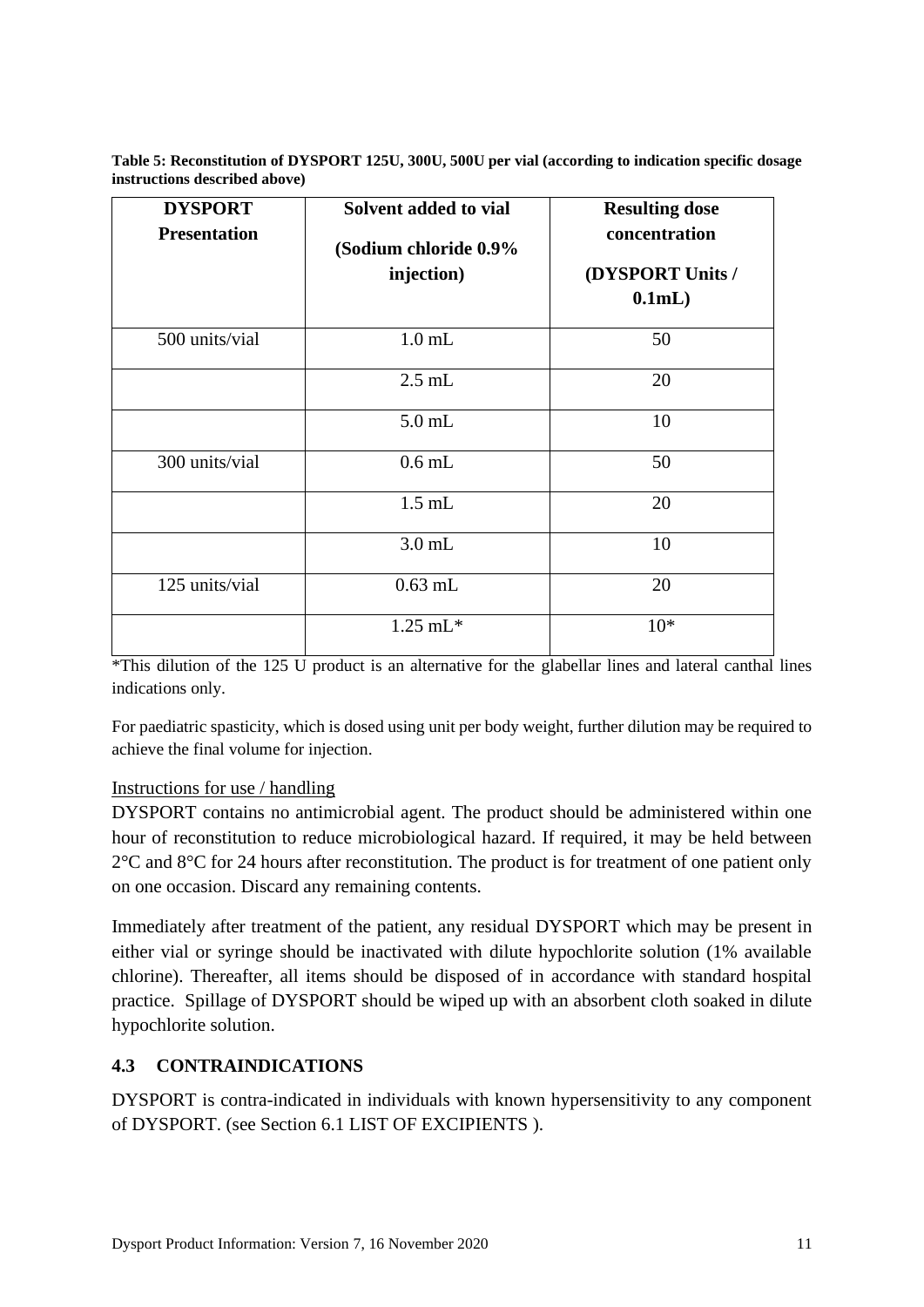<span id="page-10-0"></span>**Table 5: Reconstitution of DYSPORT 125U, 300U, 500U per vial (according to indication specific dosage instructions described above)**

| <b>DYSPORT</b><br><b>Presentation</b> | Solvent added to vial<br>(Sodium chloride 0.9%<br>injection) | <b>Resulting dose</b><br>concentration<br>(DYSPORT Units /<br>0.1mL |
|---------------------------------------|--------------------------------------------------------------|---------------------------------------------------------------------|
| 500 units/vial                        | $1.0$ mL                                                     | 50                                                                  |
|                                       | $2.5$ mL                                                     | 20                                                                  |
|                                       | $5.0$ mL                                                     | 10                                                                  |
| 300 units/vial                        | $0.6$ mL                                                     | 50                                                                  |
|                                       | $1.5$ mL                                                     | 20                                                                  |
|                                       | $3.0$ mL                                                     | 10                                                                  |
| 125 units/vial                        | $0.63$ mL                                                    | 20                                                                  |
|                                       | $1.25 \text{ mL}^*$                                          | $10*$                                                               |

\*This dilution of the 125 U product is an alternative for the glabellar lines and lateral canthal lines indications only.

For paediatric spasticity, which is dosed using unit per body weight, further dilution may be required to achieve the final volume for injection.

## Instructions for use / handling

DYSPORT contains no antimicrobial agent. The product should be administered within one hour of reconstitution to reduce microbiological hazard. If required, it may be held between  $2^{\circ}$ C and  $8^{\circ}$ C for 24 hours after reconstitution. The product is for treatment of one patient only on one occasion. Discard any remaining contents.

Immediately after treatment of the patient, any residual DYSPORT which may be present in either vial or syringe should be inactivated with dilute hypochlorite solution (1% available chlorine). Thereafter, all items should be disposed of in accordance with standard hospital practice. Spillage of DYSPORT should be wiped up with an absorbent cloth soaked in dilute hypochlorite solution.

## **4.3 CONTRAINDICATIONS**

DYSPORT is contra-indicated in individuals with known hypersensitivity to any component of DYSPORT. (see Section 6.1 LIST OF EXCIPIENTS ).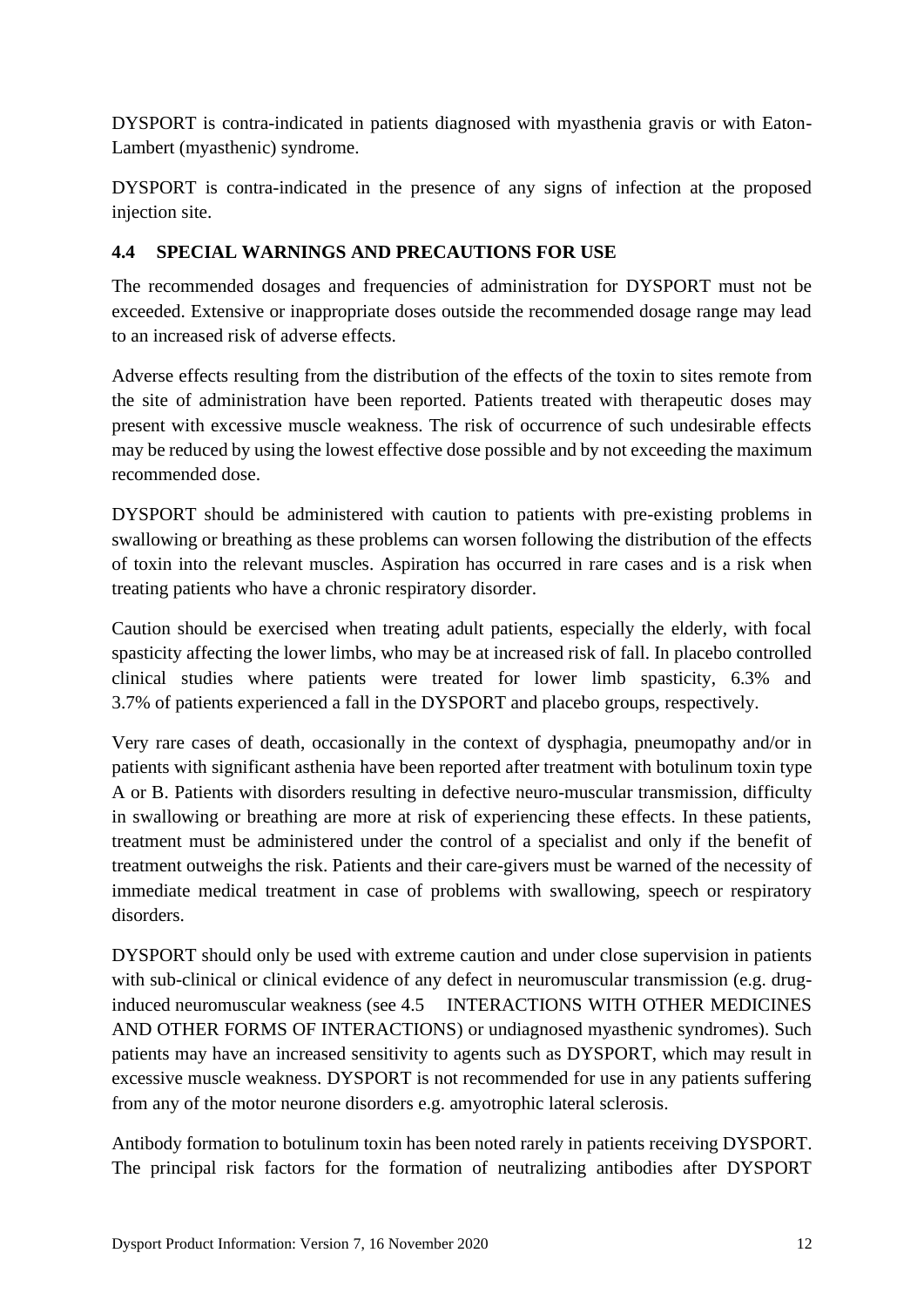DYSPORT is contra-indicated in patients diagnosed with myasthenia gravis or with Eaton-Lambert (myasthenic) syndrome.

DYSPORT is contra-indicated in the presence of any signs of infection at the proposed injection site.

# **4.4 SPECIAL WARNINGS AND PRECAUTIONS FOR USE**

The recommended dosages and frequencies of administration for DYSPORT must not be exceeded. Extensive or inappropriate doses outside the recommended dosage range may lead to an increased risk of adverse effects.

Adverse effects resulting from the distribution of the effects of the toxin to sites remote from the site of administration have been reported. Patients treated with therapeutic doses may present with excessive muscle weakness. The risk of occurrence of such undesirable effects may be reduced by using the lowest effective dose possible and by not exceeding the maximum recommended dose.

DYSPORT should be administered with caution to patients with pre-existing problems in swallowing or breathing as these problems can worsen following the distribution of the effects of toxin into the relevant muscles. Aspiration has occurred in rare cases and is a risk when treating patients who have a chronic respiratory disorder.

Caution should be exercised when treating adult patients, especially the elderly, with focal spasticity affecting the lower limbs, who may be at increased risk of fall. In placebo controlled clinical studies where patients were treated for lower limb spasticity, 6.3% and 3.7% of patients experienced a fall in the DYSPORT and placebo groups, respectively.

Very rare cases of death, occasionally in the context of dysphagia, pneumopathy and/or in patients with significant asthenia have been reported after treatment with botulinum toxin type A or B. Patients with disorders resulting in defective neuro-muscular transmission, difficulty in swallowing or breathing are more at risk of experiencing these effects. In these patients, treatment must be administered under the control of a specialist and only if the benefit of treatment outweighs the risk. Patients and their care-givers must be warned of the necessity of immediate medical treatment in case of problems with swallowing, speech or respiratory disorders.

DYSPORT should only be used with extreme caution and under close supervision in patients with sub-clinical or clinical evidence of any defect in neuromuscular transmission (e.g. druginduced neuromuscular weakness (see 4.5 INTERACTIONS WITH OTHER MEDICINES AND OTHER FORMS OF INTERACTIONS) or undiagnosed myasthenic syndromes). Such patients may have an increased sensitivity to agents such as DYSPORT, which may result in excessive muscle weakness. DYSPORT is not recommended for use in any patients suffering from any of the motor neurone disorders e.g. amyotrophic lateral sclerosis.

Antibody formation to botulinum toxin has been noted rarely in patients receiving DYSPORT. The principal risk factors for the formation of neutralizing antibodies after DYSPORT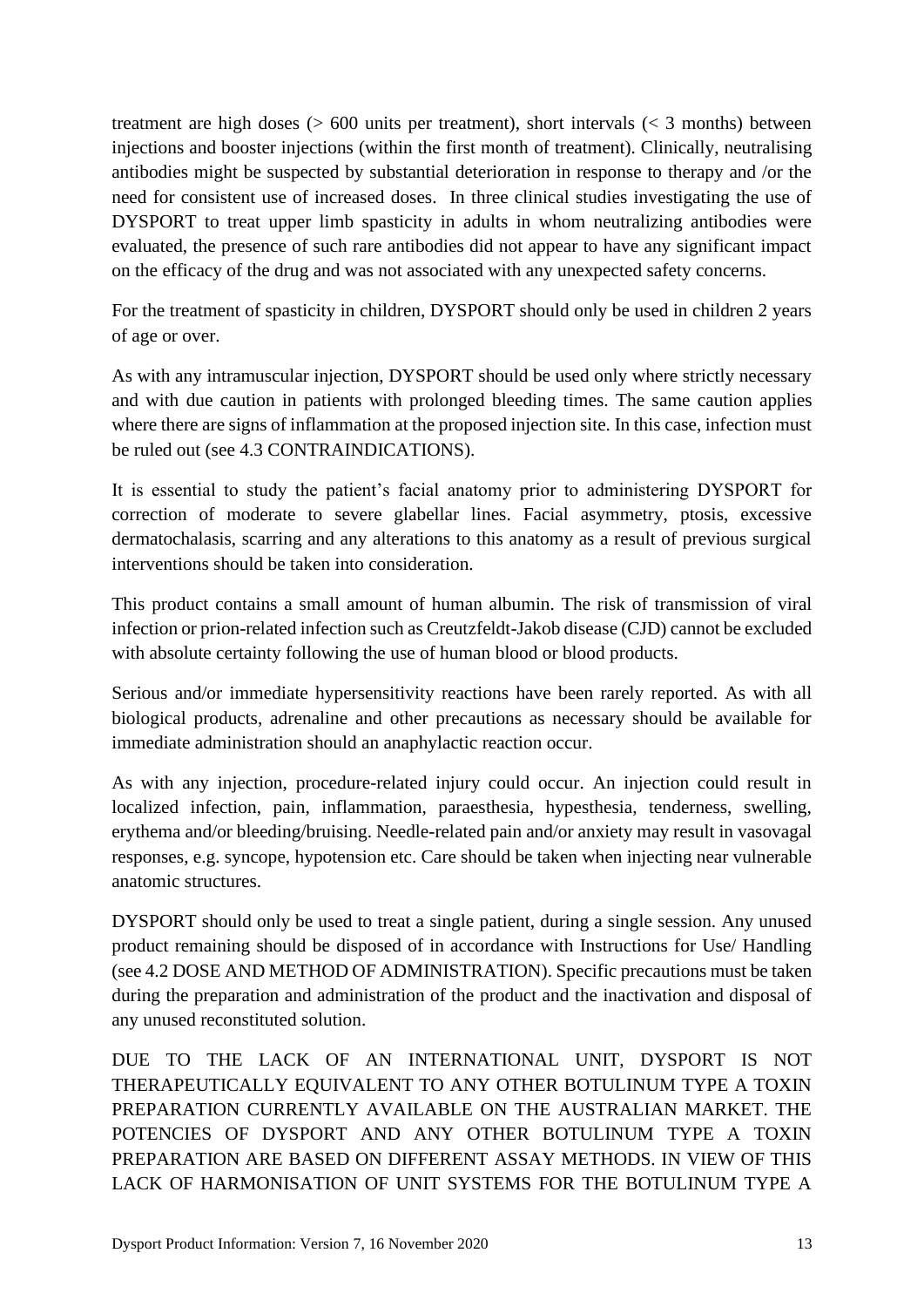treatment are high doses  $(> 600$  units per treatment), short intervals  $(< 3$  months) between injections and booster injections (within the first month of treatment). Clinically, neutralising antibodies might be suspected by substantial deterioration in response to therapy and /or the need for consistent use of increased doses. In three clinical studies investigating the use of DYSPORT to treat upper limb spasticity in adults in whom neutralizing antibodies were evaluated, the presence of such rare antibodies did not appear to have any significant impact on the efficacy of the drug and was not associated with any unexpected safety concerns.

For the treatment of spasticity in children, DYSPORT should only be used in children 2 years of age or over.

As with any intramuscular injection, DYSPORT should be used only where strictly necessary and with due caution in patients with prolonged bleeding times. The same caution applies where there are signs of inflammation at the proposed injection site. In this case, infection must be ruled out (see 4.3 CONTRAINDICATIONS).

It is essential to study the patient's facial anatomy prior to administering DYSPORT for correction of moderate to severe glabellar lines. Facial asymmetry, ptosis, excessive dermatochalasis, scarring and any alterations to this anatomy as a result of previous surgical interventions should be taken into consideration.

This product contains a small amount of human albumin. The risk of transmission of viral infection or prion-related infection such as Creutzfeldt-Jakob disease (CJD) cannot be excluded with absolute certainty following the use of human blood or blood products.

Serious and/or immediate hypersensitivity reactions have been rarely reported. As with all biological products, adrenaline and other precautions as necessary should be available for immediate administration should an anaphylactic reaction occur.

As with any injection, procedure-related injury could occur. An injection could result in localized infection, pain, inflammation, paraesthesia, hypesthesia, tenderness, swelling, erythema and/or bleeding/bruising. Needle-related pain and/or anxiety may result in vasovagal responses, e.g. syncope, hypotension etc. Care should be taken when injecting near vulnerable anatomic structures.

DYSPORT should only be used to treat a single patient, during a single session. Any unused product remaining should be disposed of in accordance with Instructions for Use/ Handling (see 4.2 DOSE AND METHOD OF ADMINISTRATION). Specific precautions must be taken during the preparation and administration of the product and the inactivation and disposal of any unused reconstituted solution.

DUE TO THE LACK OF AN INTERNATIONAL UNIT, DYSPORT IS NOT THERAPEUTICALLY EQUIVALENT TO ANY OTHER BOTULINUM TYPE A TOXIN PREPARATION CURRENTLY AVAILABLE ON THE AUSTRALIAN MARKET. THE POTENCIES OF DYSPORT AND ANY OTHER BOTULINUM TYPE A TOXIN PREPARATION ARE BASED ON DIFFERENT ASSAY METHODS. IN VIEW OF THIS LACK OF HARMONISATION OF UNIT SYSTEMS FOR THE BOTULINUM TYPE A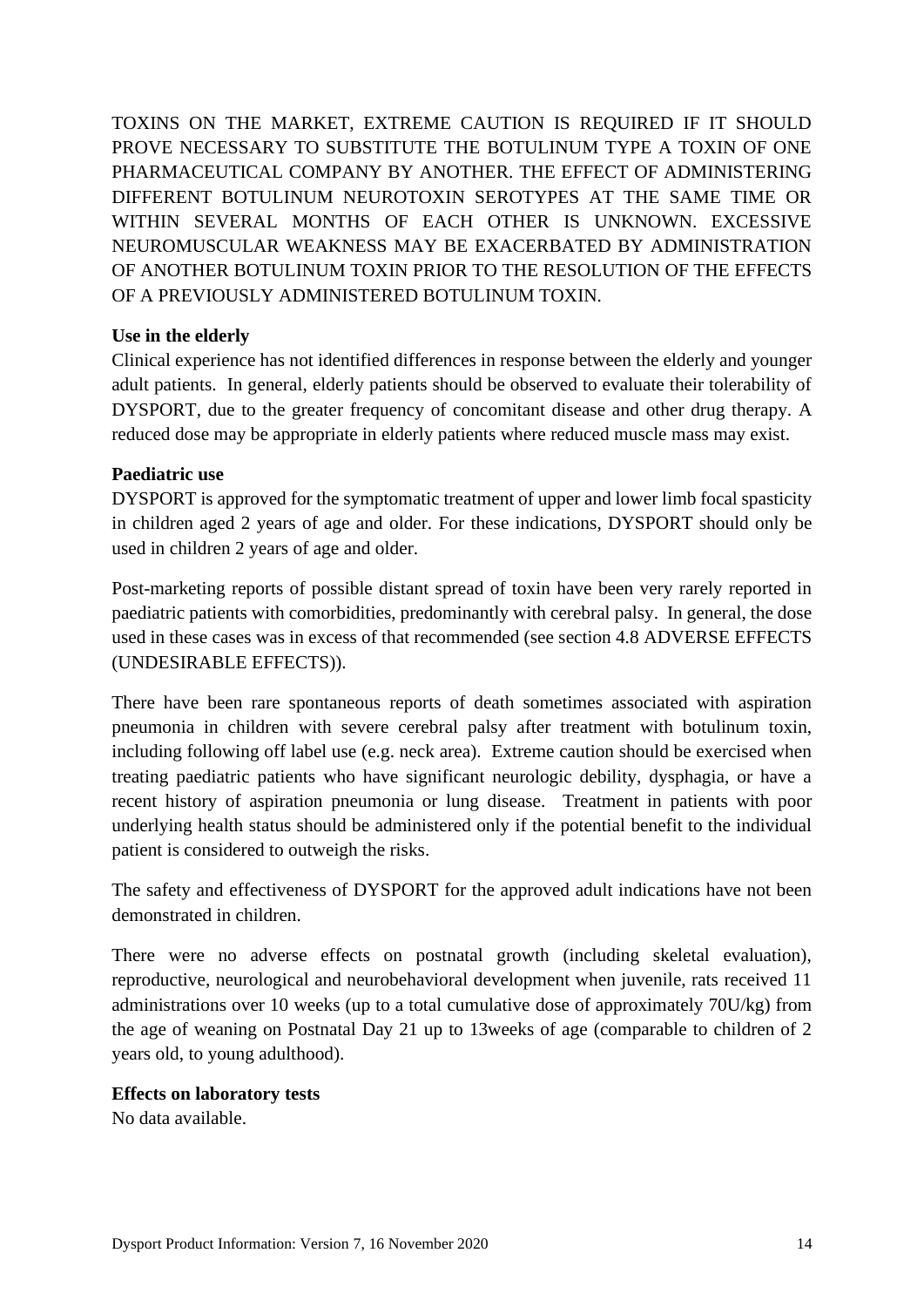TOXINS ON THE MARKET, EXTREME CAUTION IS REQUIRED IF IT SHOULD PROVE NECESSARY TO SUBSTITUTE THE BOTULINUM TYPE A TOXIN OF ONE PHARMACEUTICAL COMPANY BY ANOTHER. THE EFFECT OF ADMINISTERING DIFFERENT BOTULINUM NEUROTOXIN SEROTYPES AT THE SAME TIME OR WITHIN SEVERAL MONTHS OF EACH OTHER IS UNKNOWN. EXCESSIVE NEUROMUSCULAR WEAKNESS MAY BE EXACERBATED BY ADMINISTRATION OF ANOTHER BOTULINUM TOXIN PRIOR TO THE RESOLUTION OF THE EFFECTS OF A PREVIOUSLY ADMINISTERED BOTULINUM TOXIN.

### **Use in the elderly**

Clinical experience has not identified differences in response between the elderly and younger adult patients. In general, elderly patients should be observed to evaluate their tolerability of DYSPORT, due to the greater frequency of concomitant disease and other drug therapy. A reduced dose may be appropriate in elderly patients where reduced muscle mass may exist.

### **Paediatric use**

DYSPORT is approved for the symptomatic treatment of upper and lower limb focal spasticity in children aged 2 years of age and older. For these indications, DYSPORT should only be used in children 2 years of age and older.

Post-marketing reports of possible distant spread of toxin have been very rarely reported in paediatric patients with comorbidities, predominantly with cerebral palsy. In general, the dose used in these cases was in excess of that recommended (see section 4.8 ADVERSE EFFECTS (UNDESIRABLE EFFECTS)).

There have been rare spontaneous reports of death sometimes associated with aspiration pneumonia in children with severe cerebral palsy after treatment with botulinum toxin, including following off label use (e.g. neck area). Extreme caution should be exercised when treating paediatric patients who have significant neurologic debility, dysphagia, or have a recent history of aspiration pneumonia or lung disease. Treatment in patients with poor underlying health status should be administered only if the potential benefit to the individual patient is considered to outweigh the risks.

The safety and effectiveness of DYSPORT for the approved adult indications have not been demonstrated in children.

There were no adverse effects on postnatal growth (including skeletal evaluation), reproductive, neurological and neurobehavioral development when juvenile, rats received 11 administrations over 10 weeks (up to a total cumulative dose of approximately 70U/kg) from the age of weaning on Postnatal Day 21 up to 13weeks of age (comparable to children of 2 years old, to young adulthood).

#### **Effects on laboratory tests**

No data available.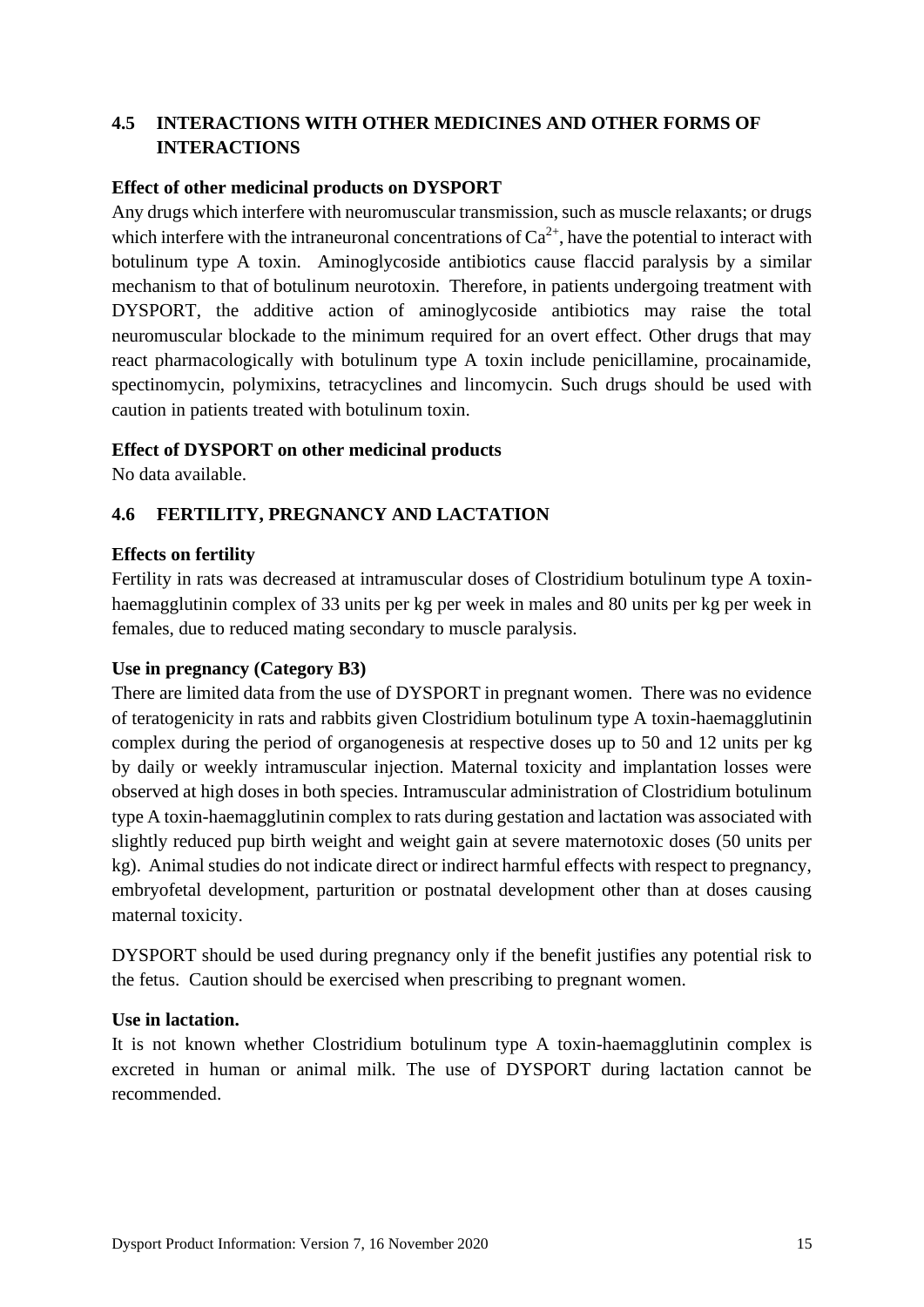# **4.5 INTERACTIONS WITH OTHER MEDICINES AND OTHER FORMS OF INTERACTIONS**

### **Effect of other medicinal products on DYSPORT**

Any drugs which interfere with neuromuscular transmission, such as muscle relaxants; or drugs which interfere with the intraneuronal concentrations of  $Ca^{2+}$ , have the potential to interact with botulinum type A toxin. Aminoglycoside antibiotics cause flaccid paralysis by a similar mechanism to that of botulinum neurotoxin. Therefore, in patients undergoing treatment with DYSPORT, the additive action of aminoglycoside antibiotics may raise the total neuromuscular blockade to the minimum required for an overt effect. Other drugs that may react pharmacologically with botulinum type A toxin include penicillamine, procainamide, spectinomycin, polymixins, tetracyclines and lincomycin. Such drugs should be used with caution in patients treated with botulinum toxin.

### **Effect of DYSPORT on other medicinal products**

No data available.

## **4.6 FERTILITY, PREGNANCY AND LACTATION**

### **Effects on fertility**

Fertility in rats was decreased at intramuscular doses of Clostridium botulinum type A toxinhaemagglutinin complex of 33 units per kg per week in males and 80 units per kg per week in females, due to reduced mating secondary to muscle paralysis.

#### **Use in pregnancy (Category B3)**

There are limited data from the use of DYSPORT in pregnant women. There was no evidence of teratogenicity in rats and rabbits given Clostridium botulinum type A toxin-haemagglutinin complex during the period of organogenesis at respective doses up to 50 and 12 units per kg by daily or weekly intramuscular injection. Maternal toxicity and implantation losses were observed at high doses in both species. Intramuscular administration of Clostridium botulinum type A toxin-haemagglutinin complex to rats during gestation and lactation was associated with slightly reduced pup birth weight and weight gain at severe maternotoxic doses (50 units per kg). Animal studies do not indicate direct or indirect harmful effects with respect to pregnancy, embryofetal development, parturition or postnatal development other than at doses causing maternal toxicity.

DYSPORT should be used during pregnancy only if the benefit justifies any potential risk to the fetus. Caution should be exercised when prescribing to pregnant women.

#### **Use in lactation.**

It is not known whether Clostridium botulinum type A toxin-haemagglutinin complex is excreted in human or animal milk. The use of DYSPORT during lactation cannot be recommended.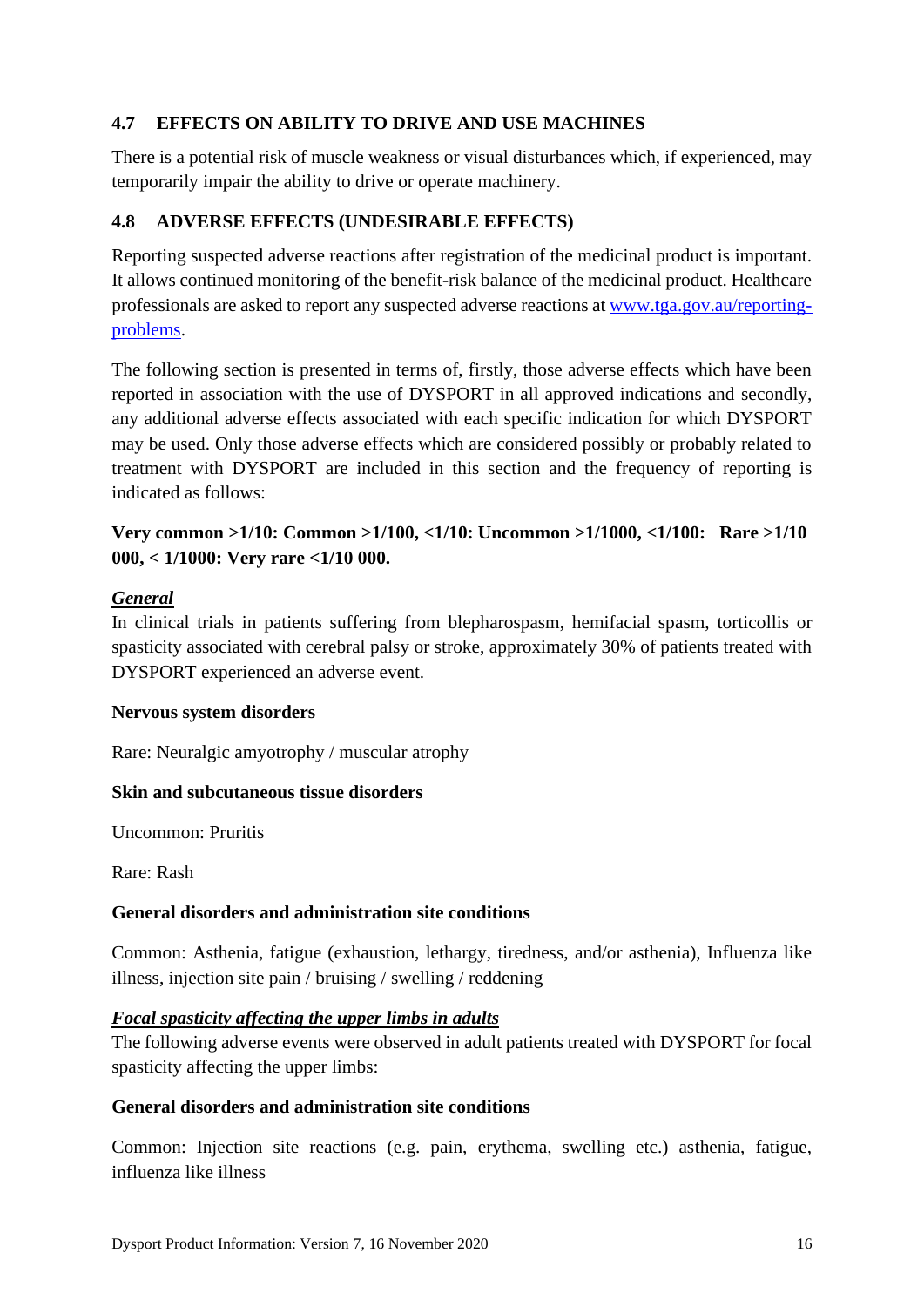# **4.7 EFFECTS ON ABILITY TO DRIVE AND USE MACHINES**

There is a potential risk of muscle weakness or visual disturbances which, if experienced, may temporarily impair the ability to drive or operate machinery.

# **4.8 ADVERSE EFFECTS (UNDESIRABLE EFFECTS)**

Reporting suspected adverse reactions after registration of the medicinal product is important. It allows continued monitoring of the benefit-risk balance of the medicinal product. Healthcare professionals are asked to report any suspected adverse reactions at [www.tga.gov.au/reporting](http://www.tga.gov.au/reporting-problems)[problems.](http://www.tga.gov.au/reporting-problems)

The following section is presented in terms of, firstly, those adverse effects which have been reported in association with the use of DYSPORT in all approved indications and secondly, any additional adverse effects associated with each specific indication for which DYSPORT may be used. Only those adverse effects which are considered possibly or probably related to treatment with DYSPORT are included in this section and the frequency of reporting is indicated as follows:

# **Very common >1/10: Common >1/100, <1/10: Uncommon >1/1000, <1/100: Rare >1/10 000, < 1/1000: Very rare <1/10 000.**

# *General*

In clinical trials in patients suffering from blepharospasm, hemifacial spasm, torticollis or spasticity associated with cerebral palsy or stroke, approximately 30% of patients treated with DYSPORT experienced an adverse event.

## **Nervous system disorders**

Rare: Neuralgic amyotrophy / muscular atrophy

## **Skin and subcutaneous tissue disorders**

Uncommon: Pruritis

Rare: Rash

# **General disorders and administration site conditions**

Common: Asthenia, fatigue (exhaustion, lethargy, tiredness, and/or asthenia), Influenza like illness, injection site pain / bruising / swelling / reddening

## *Focal spasticity affecting the upper limbs in adults*

The following adverse events were observed in adult patients treated with DYSPORT for focal spasticity affecting the upper limbs:

## **General disorders and administration site conditions**

Common: Injection site reactions (e.g. pain, erythema, swelling etc.) asthenia, fatigue, influenza like illness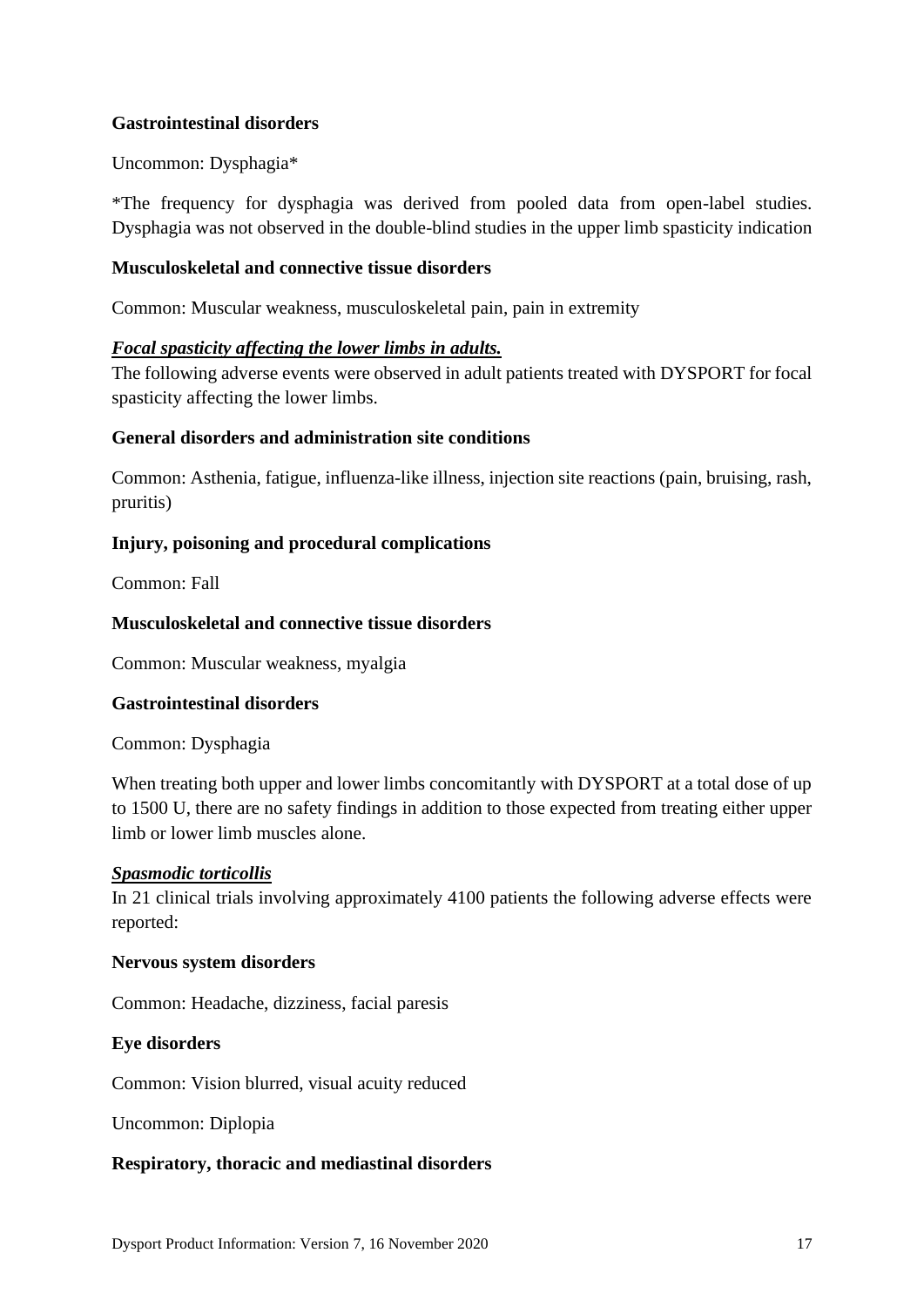## **Gastrointestinal disorders**

## Uncommon: Dysphagia\*

\*The frequency for dysphagia was derived from pooled data from open-label studies. Dysphagia was not observed in the double-blind studies in the upper limb spasticity indication

### **Musculoskeletal and connective tissue disorders**

Common: Muscular weakness, musculoskeletal pain, pain in extremity

### *Focal spasticity affecting the lower limbs in adults.*

The following adverse events were observed in adult patients treated with DYSPORT for focal spasticity affecting the lower limbs.

### **General disorders and administration site conditions**

Common: Asthenia, fatigue, influenza-like illness, injection site reactions (pain, bruising, rash, pruritis)

### **Injury, poisoning and procedural complications**

Common: Fall

### **Musculoskeletal and connective tissue disorders**

Common: Muscular weakness, myalgia

#### **Gastrointestinal disorders**

Common: Dysphagia

When treating both upper and lower limbs concomitantly with DYSPORT at a total dose of up to 1500 U, there are no safety findings in addition to those expected from treating either upper limb or lower limb muscles alone.

#### *Spasmodic torticollis*

In 21 clinical trials involving approximately 4100 patients the following adverse effects were reported:

#### **Nervous system disorders**

Common: Headache, dizziness, facial paresis

#### **Eye disorders**

Common: Vision blurred, visual acuity reduced

Uncommon: Diplopia

#### **Respiratory, thoracic and mediastinal disorders**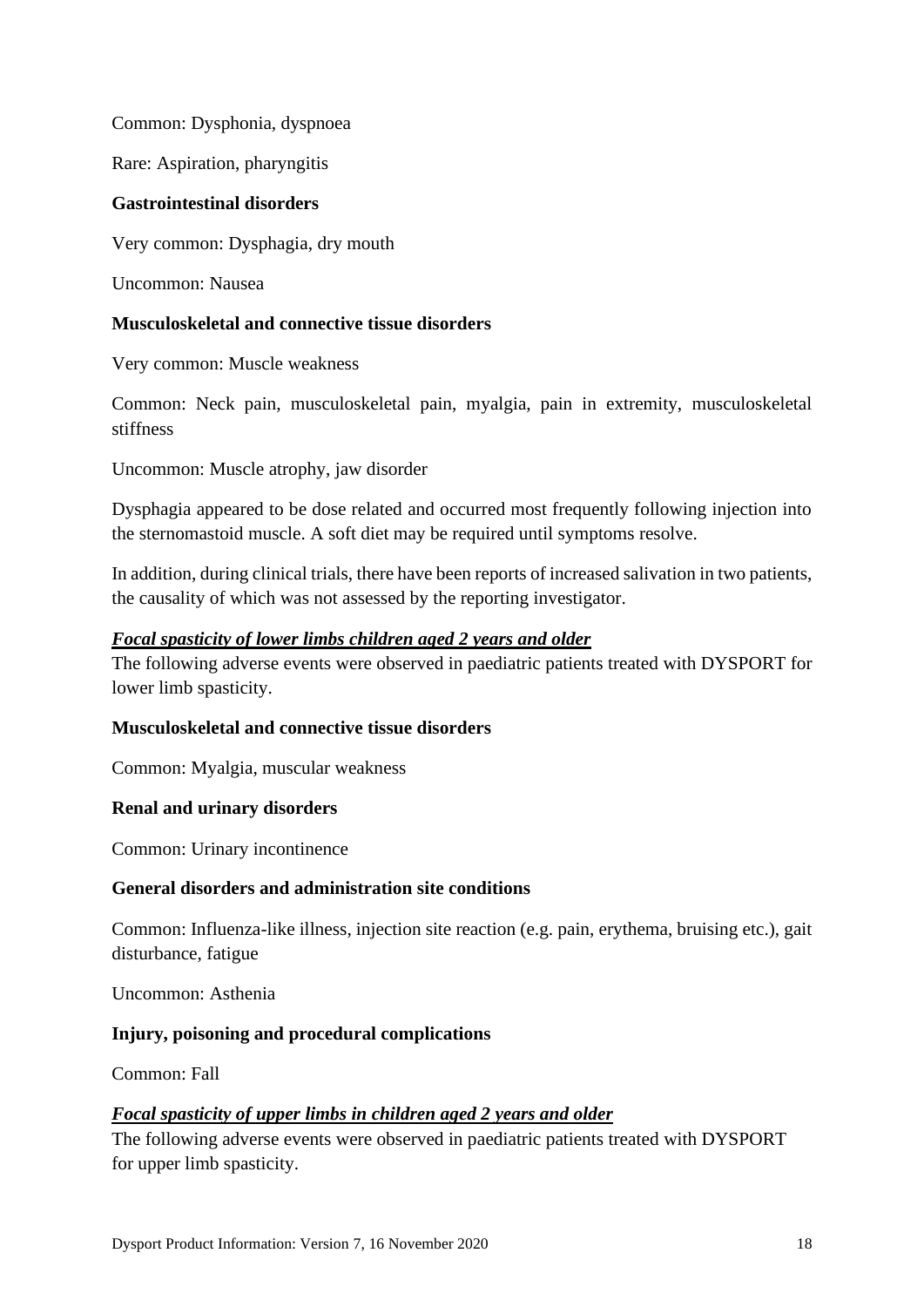Common: Dysphonia, dyspnoea

Rare: Aspiration, pharyngitis

### **Gastrointestinal disorders**

Very common: Dysphagia, dry mouth

Uncommon: Nausea

### **Musculoskeletal and connective tissue disorders**

Very common: Muscle weakness

Common: Neck pain, musculoskeletal pain, myalgia, pain in extremity, musculoskeletal stiffness

Uncommon: Muscle atrophy, jaw disorder

Dysphagia appeared to be dose related and occurred most frequently following injection into the sternomastoid muscle. A soft diet may be required until symptoms resolve.

In addition, during clinical trials, there have been reports of increased salivation in two patients, the causality of which was not assessed by the reporting investigator.

### *Focal spasticity of lower limbs children aged 2 years and older*

The following adverse events were observed in paediatric patients treated with DYSPORT for lower limb spasticity.

#### **Musculoskeletal and connective tissue disorders**

Common: Myalgia, muscular weakness

## **Renal and urinary disorders**

Common: Urinary incontinence

#### **General disorders and administration site conditions**

Common: Influenza-like illness, injection site reaction (e.g. pain, erythema, bruising etc.), gait disturbance, fatigue

Uncommon: Asthenia

#### **Injury, poisoning and procedural complications**

Common: Fall

## *Focal spasticity of upper limbs in children aged 2 years and older*

The following adverse events were observed in paediatric patients treated with DYSPORT for upper limb spasticity.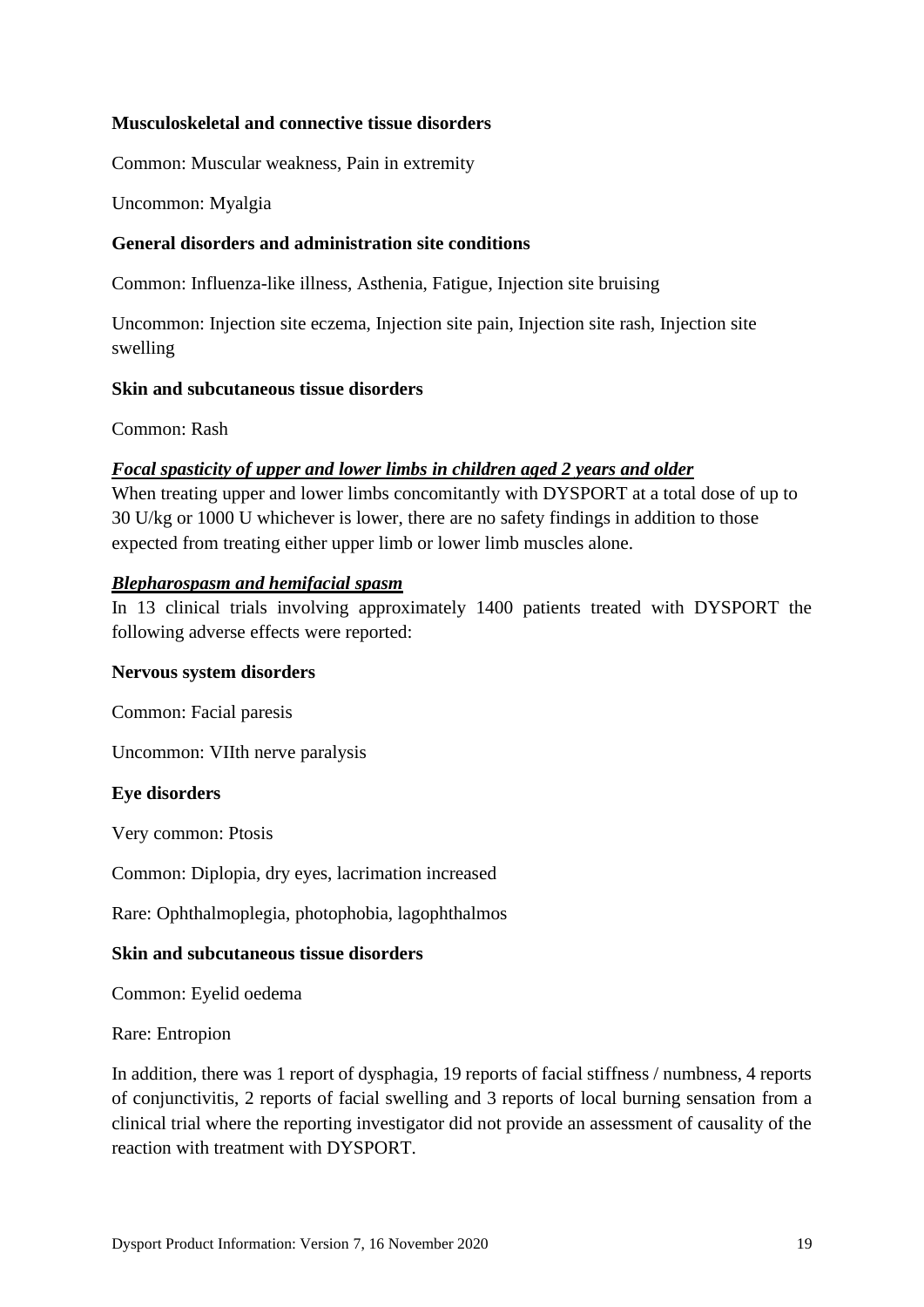### **Musculoskeletal and connective tissue disorders**

Common: Muscular weakness, Pain in extremity

Uncommon: Myalgia

#### **General disorders and administration site conditions**

Common: Influenza-like illness, Asthenia, Fatigue, Injection site bruising

Uncommon: Injection site eczema, Injection site pain, Injection site rash, Injection site swelling

#### **Skin and subcutaneous tissue disorders**

Common: Rash

#### *Focal spasticity of upper and lower limbs in children aged 2 years and older*

When treating upper and lower limbs concomitantly with DYSPORT at a total dose of up to 30 U/kg or 1000 U whichever is lower, there are no safety findings in addition to those expected from treating either upper limb or lower limb muscles alone.

#### *Blepharospasm and hemifacial spasm*

In 13 clinical trials involving approximately 1400 patients treated with DYSPORT the following adverse effects were reported:

#### **Nervous system disorders**

Common: Facial paresis

Uncommon: VIIth nerve paralysis

#### **Eye disorders**

Very common: Ptosis

Common: Diplopia, dry eyes, lacrimation increased

Rare: Ophthalmoplegia, photophobia, lagophthalmos

#### **Skin and subcutaneous tissue disorders**

Common: Eyelid oedema

Rare: Entropion

In addition, there was 1 report of dysphagia, 19 reports of facial stiffness / numbness, 4 reports of conjunctivitis, 2 reports of facial swelling and 3 reports of local burning sensation from a clinical trial where the reporting investigator did not provide an assessment of causality of the reaction with treatment with DYSPORT.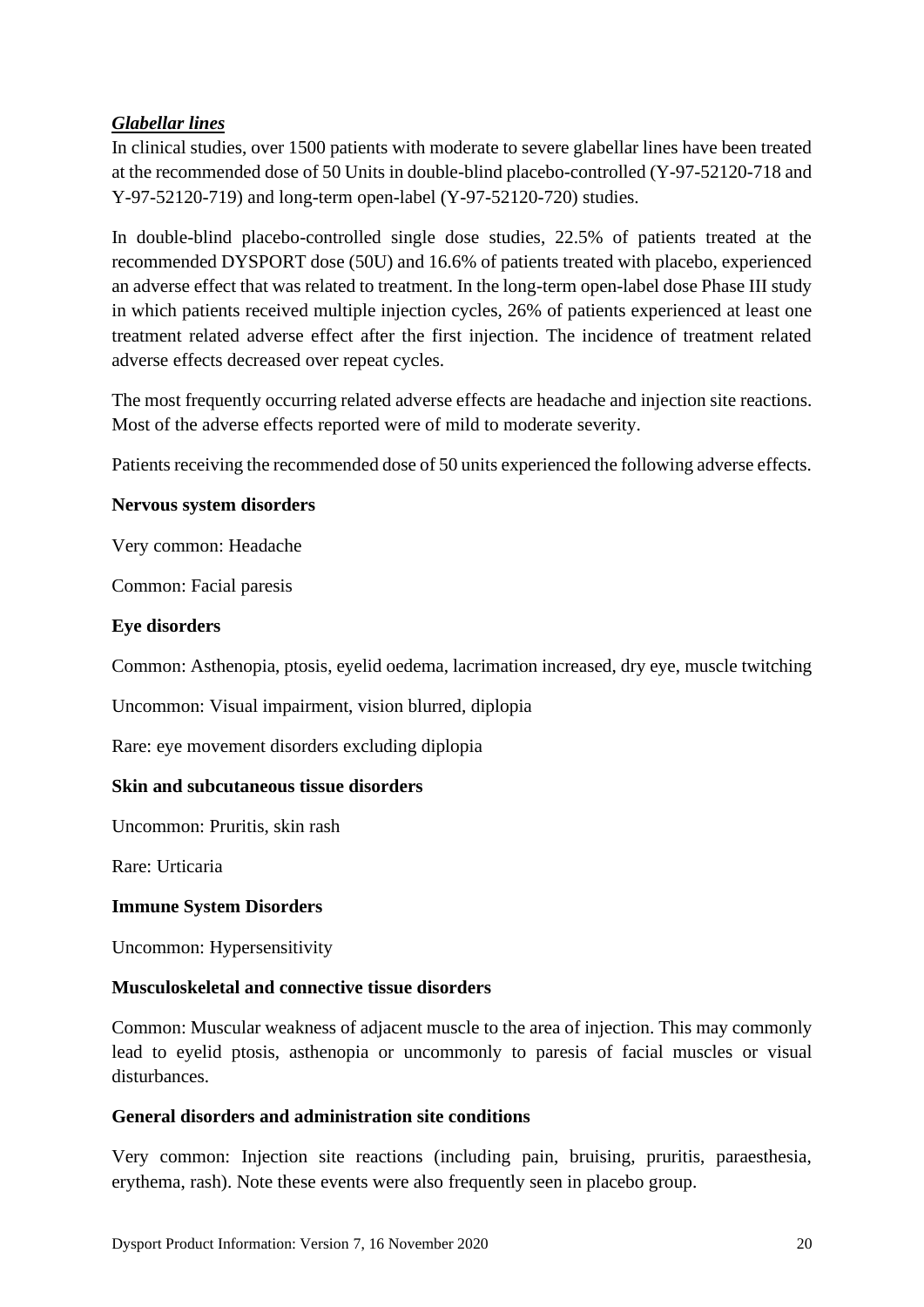## *Glabellar lines*

In clinical studies, over 1500 patients with moderate to severe glabellar lines have been treated at the recommended dose of 50 Units in double-blind placebo-controlled (Y-97-52120-718 and Y-97-52120-719) and long-term open-label (Y-97-52120-720) studies.

In double-blind placebo-controlled single dose studies, 22.5% of patients treated at the recommended DYSPORT dose (50U) and 16.6% of patients treated with placebo, experienced an adverse effect that was related to treatment. In the long-term open-label dose Phase III study in which patients received multiple injection cycles, 26% of patients experienced at least one treatment related adverse effect after the first injection. The incidence of treatment related adverse effects decreased over repeat cycles.

The most frequently occurring related adverse effects are headache and injection site reactions. Most of the adverse effects reported were of mild to moderate severity.

Patients receiving the recommended dose of 50 units experienced the following adverse effects.

### **Nervous system disorders**

Very common: Headache

Common: Facial paresis

### **Eye disorders**

Common: Asthenopia, ptosis, eyelid oedema, lacrimation increased, dry eye, muscle twitching

Uncommon: Visual impairment, vision blurred, diplopia

Rare: eye movement disorders excluding diplopia

## **Skin and subcutaneous tissue disorders**

Uncommon: Pruritis, skin rash

Rare: Urticaria

## **Immune System Disorders**

Uncommon: Hypersensitivity

#### **Musculoskeletal and connective tissue disorders**

Common: Muscular weakness of adjacent muscle to the area of injection. This may commonly lead to eyelid ptosis, asthenopia or uncommonly to paresis of facial muscles or visual disturbances.

#### **General disorders and administration site conditions**

Very common: Injection site reactions (including pain, bruising, pruritis, paraesthesia, erythema, rash). Note these events were also frequently seen in placebo group.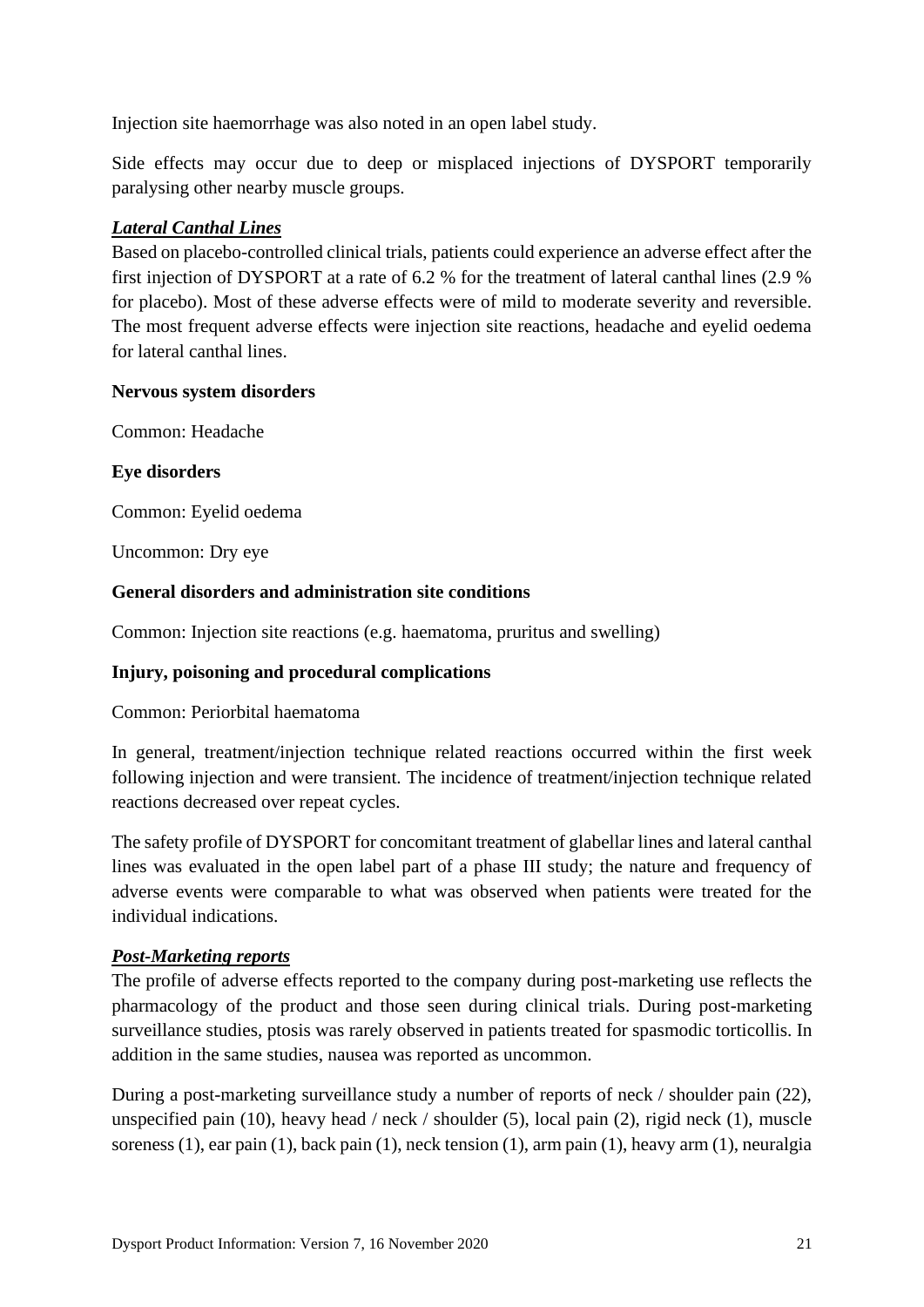Injection site haemorrhage was also noted in an open label study.

Side effects may occur due to deep or misplaced injections of DYSPORT temporarily paralysing other nearby muscle groups.

## *Lateral Canthal Lines*

Based on placebo-controlled clinical trials, patients could experience an adverse effect after the first injection of DYSPORT at a rate of 6.2 % for the treatment of lateral canthal lines (2.9 % for placebo). Most of these adverse effects were of mild to moderate severity and reversible. The most frequent adverse effects were injection site reactions, headache and eyelid oedema for lateral canthal lines.

## **Nervous system disorders**

Common: Headache

**Eye disorders**

Common: Eyelid oedema

Uncommon: Dry eye

## **General disorders and administration site conditions**

Common: Injection site reactions (e.g. haematoma, pruritus and swelling)

# **Injury, poisoning and procedural complications**

Common: Periorbital haematoma

In general, treatment/injection technique related reactions occurred within the first week following injection and were transient. The incidence of treatment/injection technique related reactions decreased over repeat cycles.

The safety profile of DYSPORT for concomitant treatment of glabellar lines and lateral canthal lines was evaluated in the open label part of a phase III study; the nature and frequency of adverse events were comparable to what was observed when patients were treated for the individual indications.

## *Post-Marketing reports*

The profile of adverse effects reported to the company during post-marketing use reflects the pharmacology of the product and those seen during clinical trials. During post-marketing surveillance studies, ptosis was rarely observed in patients treated for spasmodic torticollis. In addition in the same studies, nausea was reported as uncommon.

During a post-marketing surveillance study a number of reports of neck / shoulder pain (22), unspecified pain (10), heavy head / neck / shoulder (5), local pain (2), rigid neck (1), muscle soreness (1), ear pain (1), back pain (1), neck tension (1), arm pain (1), heavy arm (1), neuralgia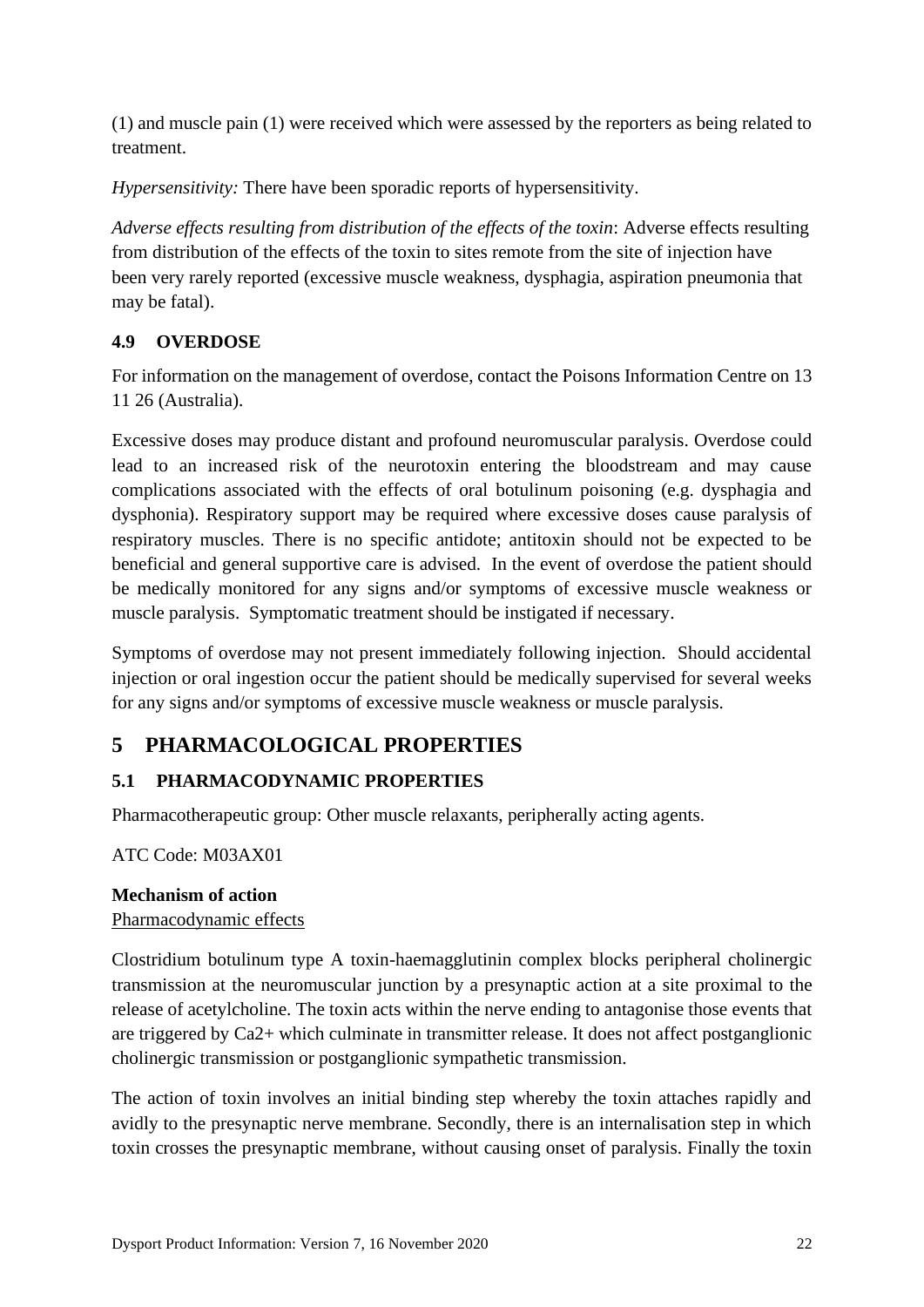(1) and muscle pain (1) were received which were assessed by the reporters as being related to treatment.

*Hypersensitivity:* There have been sporadic reports of hypersensitivity.

*Adverse effects resulting from distribution of the effects of the toxin*: Adverse effects resulting from distribution of the effects of the toxin to sites remote from the site of injection have been very rarely reported (excessive muscle weakness, dysphagia, aspiration pneumonia that may be fatal).

# **4.9 OVERDOSE**

For information on the management of overdose, contact the Poisons Information Centre on 13 11 26 (Australia).

Excessive doses may produce distant and profound neuromuscular paralysis. Overdose could lead to an increased risk of the neurotoxin entering the bloodstream and may cause complications associated with the effects of oral botulinum poisoning (e.g. dysphagia and dysphonia). Respiratory support may be required where excessive doses cause paralysis of respiratory muscles. There is no specific antidote; antitoxin should not be expected to be beneficial and general supportive care is advised. In the event of overdose the patient should be medically monitored for any signs and/or symptoms of excessive muscle weakness or muscle paralysis. Symptomatic treatment should be instigated if necessary.

Symptoms of overdose may not present immediately following injection. Should accidental injection or oral ingestion occur the patient should be medically supervised for several weeks for any signs and/or symptoms of excessive muscle weakness or muscle paralysis.

# **5 PHARMACOLOGICAL PROPERTIES**

# **5.1 PHARMACODYNAMIC PROPERTIES**

Pharmacotherapeutic group: Other muscle relaxants, peripherally acting agents.

ATC Code: M03AX01

# **Mechanism of action**

## Pharmacodynamic effects

Clostridium botulinum type A toxin-haemagglutinin complex blocks peripheral cholinergic transmission at the neuromuscular junction by a presynaptic action at a site proximal to the release of acetylcholine. The toxin acts within the nerve ending to antagonise those events that are triggered by Ca2+ which culminate in transmitter release. It does not affect postganglionic cholinergic transmission or postganglionic sympathetic transmission.

The action of toxin involves an initial binding step whereby the toxin attaches rapidly and avidly to the presynaptic nerve membrane. Secondly, there is an internalisation step in which toxin crosses the presynaptic membrane, without causing onset of paralysis. Finally the toxin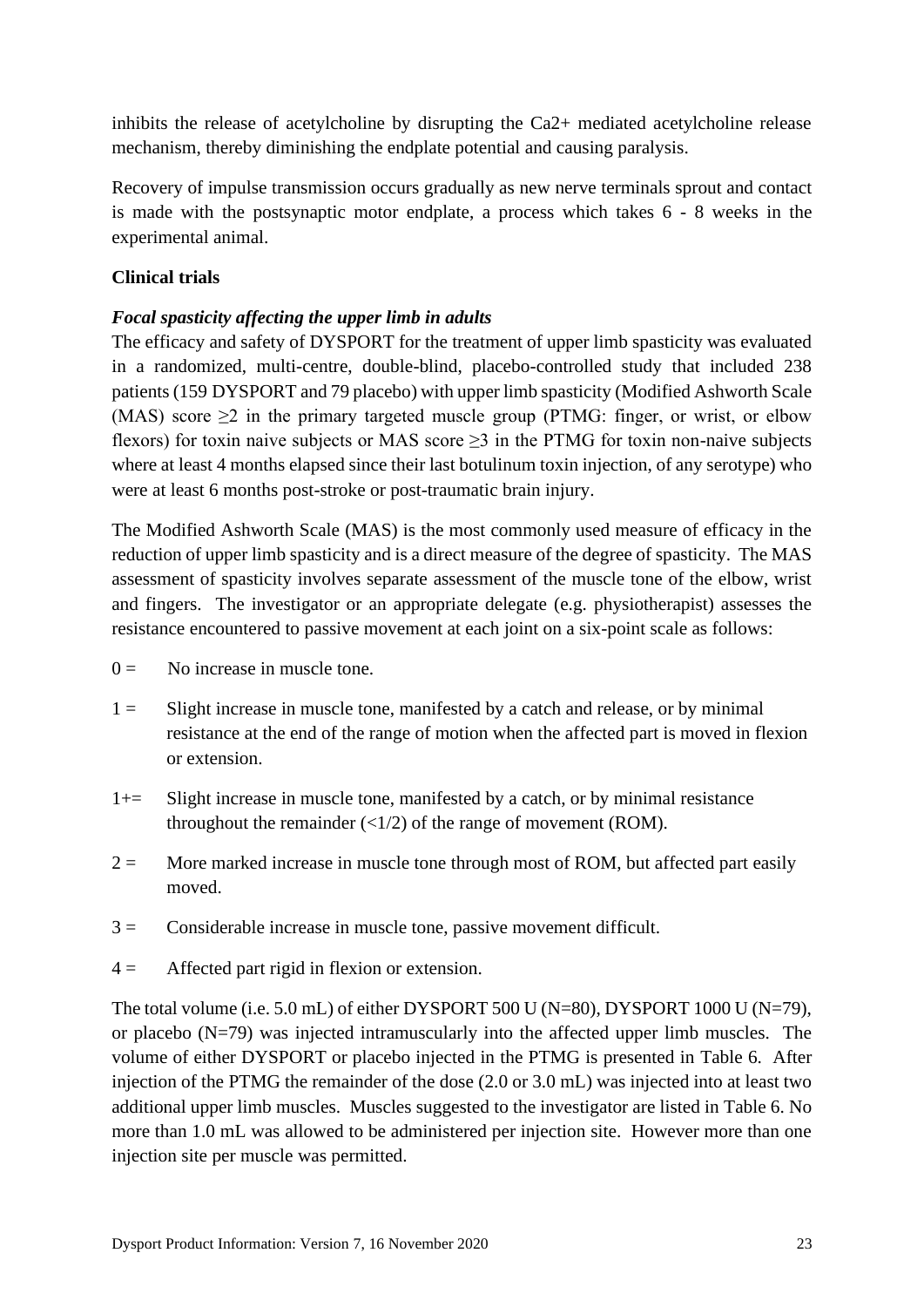inhibits the release of acetylcholine by disrupting the Ca2+ mediated acetylcholine release mechanism, thereby diminishing the endplate potential and causing paralysis.

Recovery of impulse transmission occurs gradually as new nerve terminals sprout and contact is made with the postsynaptic motor endplate, a process which takes 6 - 8 weeks in the experimental animal.

## **Clinical trials**

## *Focal spasticity affecting the upper limb in adults*

The efficacy and safety of DYSPORT for the treatment of upper limb spasticity was evaluated in a randomized, multi-centre, double-blind, placebo-controlled study that included 238 patients (159 DYSPORT and 79 placebo) with upper limb spasticity (Modified Ashworth Scale (MAS) score  $\geq$  2 in the primary targeted muscle group (PTMG: finger, or wrist, or elbow flexors) for toxin naive subjects or MAS score  $\geq$ 3 in the PTMG for toxin non-naive subjects where at least 4 months elapsed since their last botulinum toxin injection, of any serotype) who were at least 6 months post-stroke or post-traumatic brain injury.

The Modified Ashworth Scale (MAS) is the most commonly used measure of efficacy in the reduction of upper limb spasticity and is a direct measure of the degree of spasticity. The MAS assessment of spasticity involves separate assessment of the muscle tone of the elbow, wrist and fingers. The investigator or an appropriate delegate (e.g. physiotherapist) assesses the resistance encountered to passive movement at each joint on a six-point scale as follows:

- $0 =$  No increase in muscle tone.
- 1 = Slight increase in muscle tone, manifested by a catch and release, or by minimal resistance at the end of the range of motion when the affected part is moved in flexion or extension.
- 1+= Slight increase in muscle tone, manifested by a catch, or by minimal resistance throughout the remainder  $\left(\frac{1}{2}\right)$  of the range of movement (ROM).
- $2 =$  More marked increase in muscle tone through most of ROM, but affected part easily moved.
- $3 =$  Considerable increase in muscle tone, passive movement difficult.
- $4 =$  Affected part rigid in flexion or extension.

The total volume (i.e. 5.0 mL) of either DYSPORT 500 U (N=80), DYSPORT 1000 U (N=79), or placebo  $(N=79)$  was injected intramuscularly into the affected upper limb muscles. The volume of either DYSPORT or placebo injected in the PTMG is presented in [Table 6.](#page-23-0) After injection of the PTMG the remainder of the dose (2.0 or 3.0 mL) was injected into at least two additional upper limb muscles. Muscles suggested to the investigator are listed in [Table 6.](#page-23-0) No more than 1.0 mL was allowed to be administered per injection site. However more than one injection site per muscle was permitted.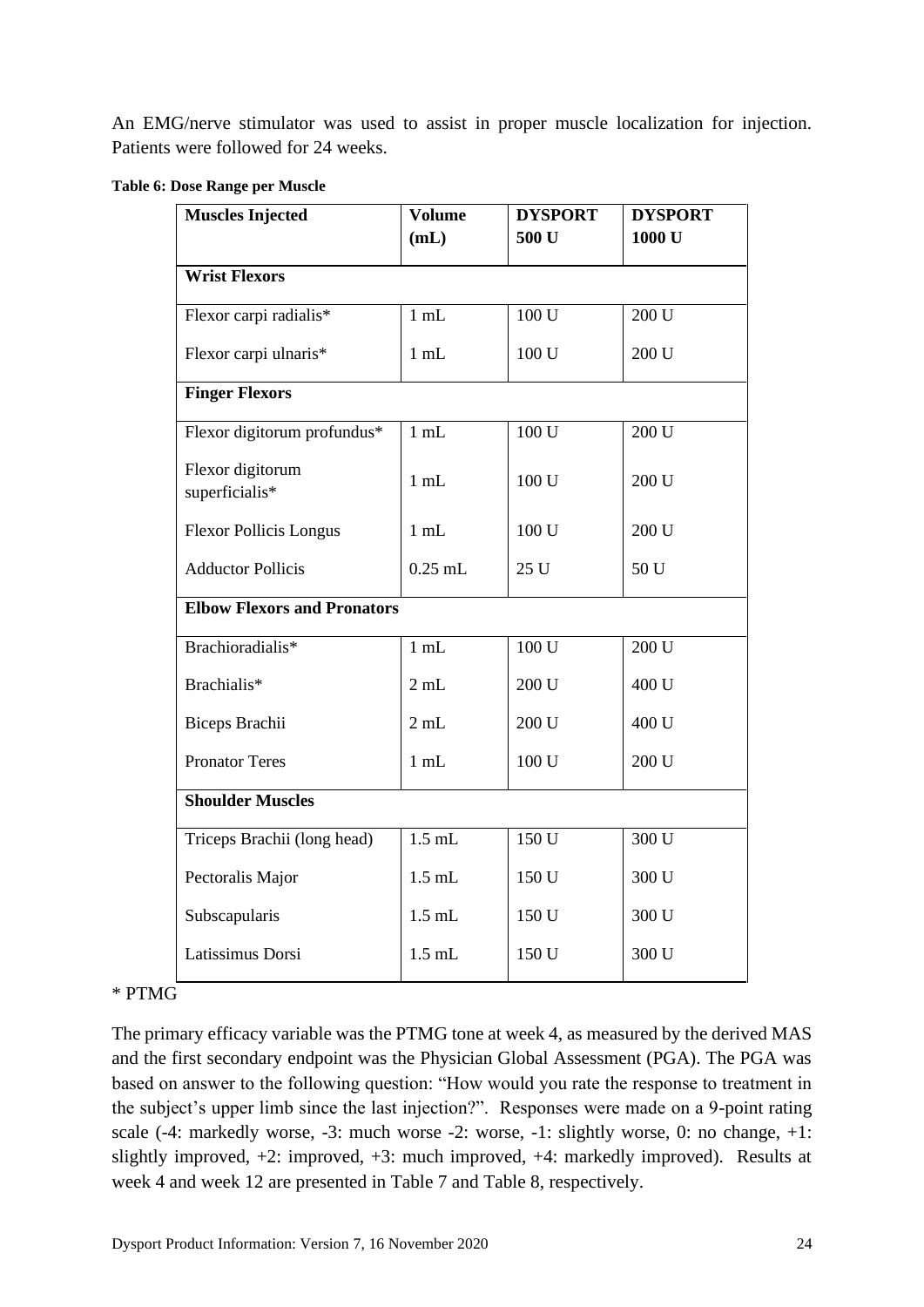An EMG/nerve stimulator was used to assist in proper muscle localization for injection. Patients were followed for 24 weeks.

<span id="page-23-0"></span>

| Table 6: Dose Range per Muscle |  |  |  |  |
|--------------------------------|--|--|--|--|
|--------------------------------|--|--|--|--|

| <b>Muscles Injected</b>            | <b>Volume</b> | <b>DYSPORT</b>   | <b>DYSPORT</b>    |  |
|------------------------------------|---------------|------------------|-------------------|--|
|                                    | (mL)          | 500 U            | 1000 <sub>U</sub> |  |
| <b>Wrist Flexors</b>               |               |                  |                   |  |
| Flexor carpi radialis*             | $1$ mL        | 100 U            | 200U              |  |
| Flexor carpi ulnaris*              | $1$ mL        | 100 U            | 200 U             |  |
| <b>Finger Flexors</b>              |               |                  |                   |  |
| Flexor digitorum profundus*        | $1$ mL        | $100 \mathrm{U}$ | 200 U             |  |
| Flexor digitorum<br>superficialis* | $1$ mL        | 100 U            | 200 U             |  |
| <b>Flexor Pollicis Longus</b>      | $1$ mL        | 100 U            | 200 U             |  |
| <b>Adductor Pollicis</b>           | $0.25$ mL     | 25 U             | 50 U              |  |
| <b>Elbow Flexors and Pronators</b> |               |                  |                   |  |
| Brachioradialis*                   | $1$ mL        | 100 U            | 200 U             |  |
| Brachialis*                        | 2 mL          | 200 U            | 400 U             |  |
| Biceps Brachii                     | 2 mL          | 200 U            | 400 U             |  |
| <b>Pronator Teres</b>              | $1$ mL        | 100 U            | 200 U             |  |
| <b>Shoulder Muscles</b>            |               |                  |                   |  |
| Triceps Brachii (long head)        | $1.5$ mL      | $150 \mathrm{U}$ | 300 U             |  |
| Pectoralis Major                   | $1.5$ mL      | 150 U            | 300 U             |  |
| Subscapularis                      | $1.5$ mL      | 150 U            | 300 U             |  |
| Latissimus Dorsi                   | $1.5\;\rm mL$ | 150 U            | 300 U             |  |

### \* PTMG

The primary efficacy variable was the PTMG tone at week 4, as measured by the derived MAS and the first secondary endpoint was the Physician Global Assessment (PGA). The PGA was based on answer to the following question: "How would you rate the response to treatment in the subject's upper limb since the last injection?". Responses were made on a 9-point rating scale (-4: markedly worse, -3: much worse -2: worse, -1: slightly worse, 0: no change, +1: slightly improved, +2: improved, +3: much improved, +4: markedly improved). Results at week 4 and week 12 are presented in [Table 7](#page-24-0) and [Table 8,](#page-25-0) respectively.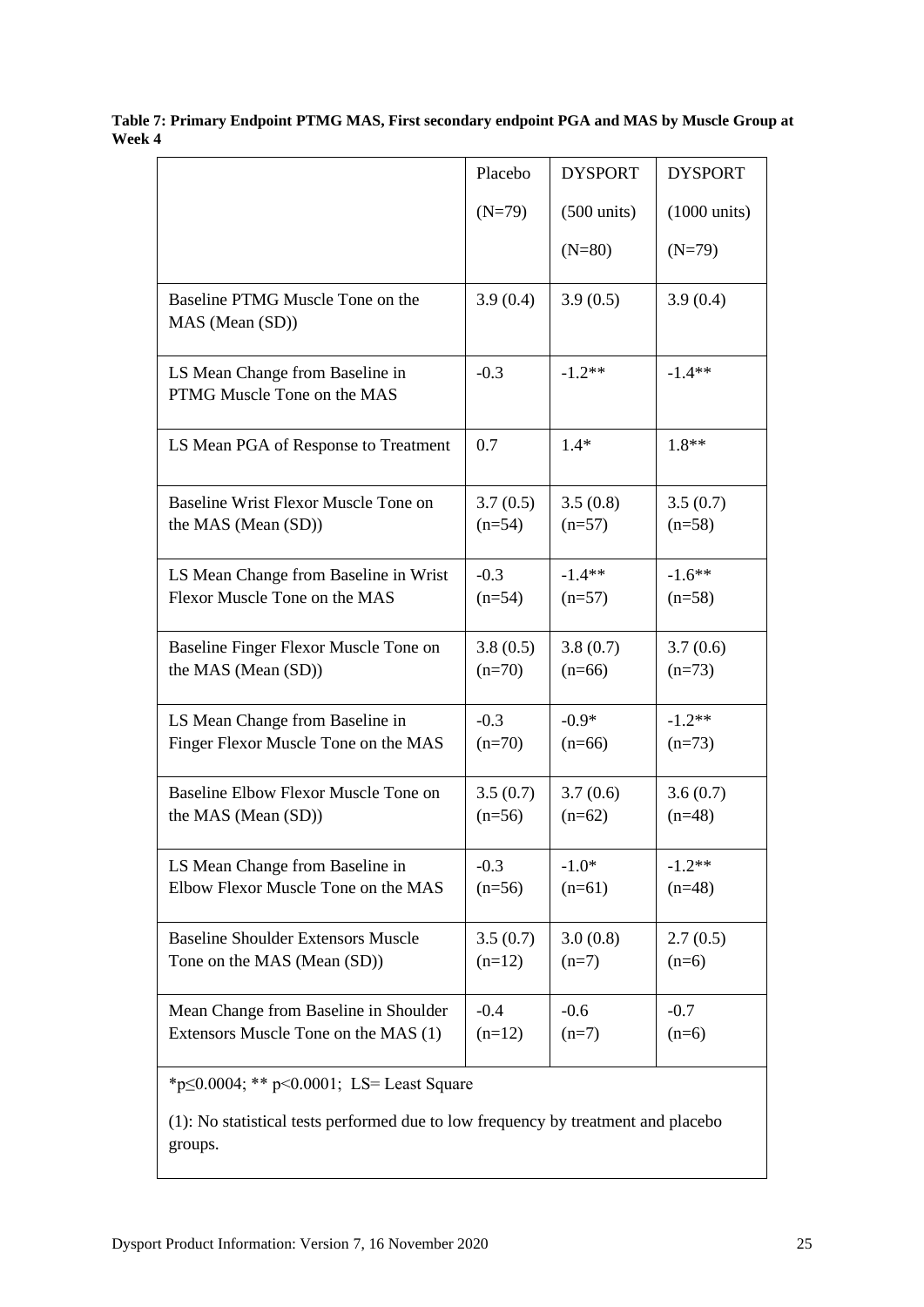<span id="page-24-0"></span>

| Table 7: Primary Endpoint PTMG MAS, First secondary endpoint PGA and MAS by Muscle Group at |  |
|---------------------------------------------------------------------------------------------|--|
| Week 4                                                                                      |  |

|                                                                | Placebo  | <b>DYSPORT</b>        | <b>DYSPORT</b>         |  |  |
|----------------------------------------------------------------|----------|-----------------------|------------------------|--|--|
|                                                                | $(N=79)$ | $(500 \text{ units})$ | $(1000 \text{ units})$ |  |  |
|                                                                |          | $(N=80)$              | $(N=79)$               |  |  |
| Baseline PTMG Muscle Tone on the<br>MAS (Mean (SD))            | 3.9(0.4) | 3.9(0.5)              | 3.9(0.4)               |  |  |
| LS Mean Change from Baseline in<br>PTMG Muscle Tone on the MAS | $-0.3$   | $-1.2**$              | $-1.4**$               |  |  |
| LS Mean PGA of Response to Treatment                           | 0.7      | $1.4*$                | 1.8**                  |  |  |
| Baseline Wrist Flexor Muscle Tone on                           | 3.7(0.5) | 3.5(0.8)              | 3.5(0.7)               |  |  |
| the MAS (Mean (SD))                                            | $(n=54)$ | $(n=57)$              | $(n=58)$               |  |  |
| LS Mean Change from Baseline in Wrist                          | $-0.3$   | $-1.4**$              | $-1.6***$              |  |  |
| Flexor Muscle Tone on the MAS                                  | $(n=54)$ | $(n=57)$              | $(n=58)$               |  |  |
| Baseline Finger Flexor Muscle Tone on                          | 3.8(0.5) | 3.8(0.7)              | 3.7(0.6)               |  |  |
| the MAS (Mean (SD))                                            | $(n=70)$ | $(n=66)$              | $(n=73)$               |  |  |
| LS Mean Change from Baseline in                                | $-0.3$   | $-0.9*$               | $-1.2**$               |  |  |
| Finger Flexor Muscle Tone on the MAS                           | $(n=70)$ | $(n=66)$              | $(n=73)$               |  |  |
| Baseline Elbow Flexor Muscle Tone on                           | 3.5(0.7) | 3.7(0.6)              | 3.6(0.7)               |  |  |
| the MAS (Mean (SD))                                            | $(n=56)$ | $(n=62)$              | $(n=48)$               |  |  |
| LS Mean Change from Baseline in                                | $-0.3$   | $-1.0*$               | $-1.2**$               |  |  |
| Elbow Flexor Muscle Tone on the MAS                            | $(n=56)$ | $(n=61)$              | $(n=48)$               |  |  |
| <b>Baseline Shoulder Extensors Muscle</b>                      | 3.5(0.7) | 3.0(0.8)              | 2.7(0.5)               |  |  |
| Tone on the MAS (Mean (SD))                                    | $(n=12)$ | $(n=7)$               | $(n=6)$                |  |  |
| Mean Change from Baseline in Shoulder                          | $-0.4$   | $-0.6$                | $-0.7$                 |  |  |
| Extensors Muscle Tone on the MAS (1)                           | $(n=12)$ | $(n=7)$               | $(n=6)$                |  |  |
| * $p \le 0.0004$ ; ** $p \le 0.0001$ ; LS= Least Square        |          |                       |                        |  |  |

(1): No statistical tests performed due to low frequency by treatment and placebo groups.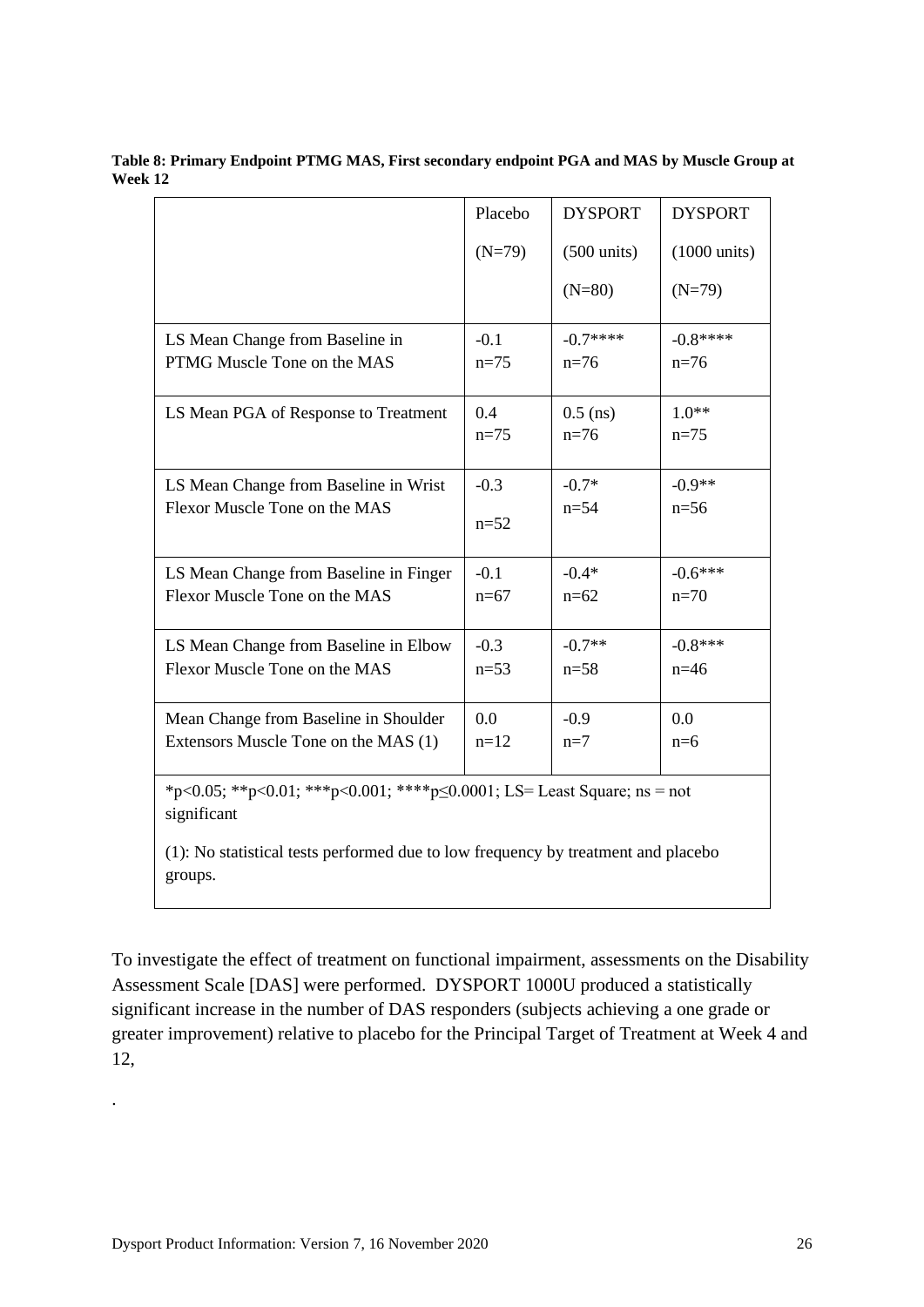|                                                                                               | Placebo  | <b>DYSPORT</b>        | <b>DYSPORT</b>         |  |  |
|-----------------------------------------------------------------------------------------------|----------|-----------------------|------------------------|--|--|
|                                                                                               | $(N=79)$ | $(500 \text{ units})$ | $(1000 \text{ units})$ |  |  |
|                                                                                               |          | $(N=80)$              | $(N=79)$               |  |  |
| LS Mean Change from Baseline in                                                               | $-0.1$   | $-0.7***$             | $-0.8***$              |  |  |
| PTMG Muscle Tone on the MAS                                                                   | $n=75$   | $n=76$                | $n=76$                 |  |  |
| LS Mean PGA of Response to Treatment                                                          | 0.4      | $0.5$ (ns)            | $1.0**$                |  |  |
|                                                                                               | $n=75$   | $n=76$                | $n=75$                 |  |  |
| LS Mean Change from Baseline in Wrist                                                         | $-0.3$   | $-0.7*$               | $-0.9**$               |  |  |
| Flexor Muscle Tone on the MAS                                                                 | $n=52$   | $n = 54$              | $n=56$                 |  |  |
| LS Mean Change from Baseline in Finger                                                        | $-0.1$   | $-0.4*$               | $-0.6***$              |  |  |
| Flexor Muscle Tone on the MAS                                                                 | $n=67$   | $n=62$                | $n=70$                 |  |  |
| LS Mean Change from Baseline in Elbow                                                         | $-0.3$   | $-0.7**$              | $-0.8***$              |  |  |
| Flexor Muscle Tone on the MAS                                                                 | $n=53$   | $n = 58$              | $n=46$                 |  |  |
| Mean Change from Baseline in Shoulder                                                         | 0.0      | $-0.9$                | 0.0                    |  |  |
| Extensors Muscle Tone on the MAS (1)                                                          | $n=12$   | $n=7$                 | $n=6$                  |  |  |
| *p<0.05; **p<0.01; ***p<0.001; ****p $\leq$ 0.0001; LS= Least Square; ns = not<br>significant |          |                       |                        |  |  |
| (1): No statistical tests performed due to low frequency by treatment and placebo             |          |                       |                        |  |  |

<span id="page-25-0"></span>**Table 8: Primary Endpoint PTMG MAS, First secondary endpoint PGA and MAS by Muscle Group at Week 12**

To investigate the effect of treatment on functional impairment, assessments on the Disability Assessment Scale [DAS] were performed. DYSPORT 1000U produced a statistically significant increase in the number of DAS responders (subjects achieving a one grade or greater improvement) relative to placebo for the Principal Target of Treatment at Week 4 and 12,

groups.

.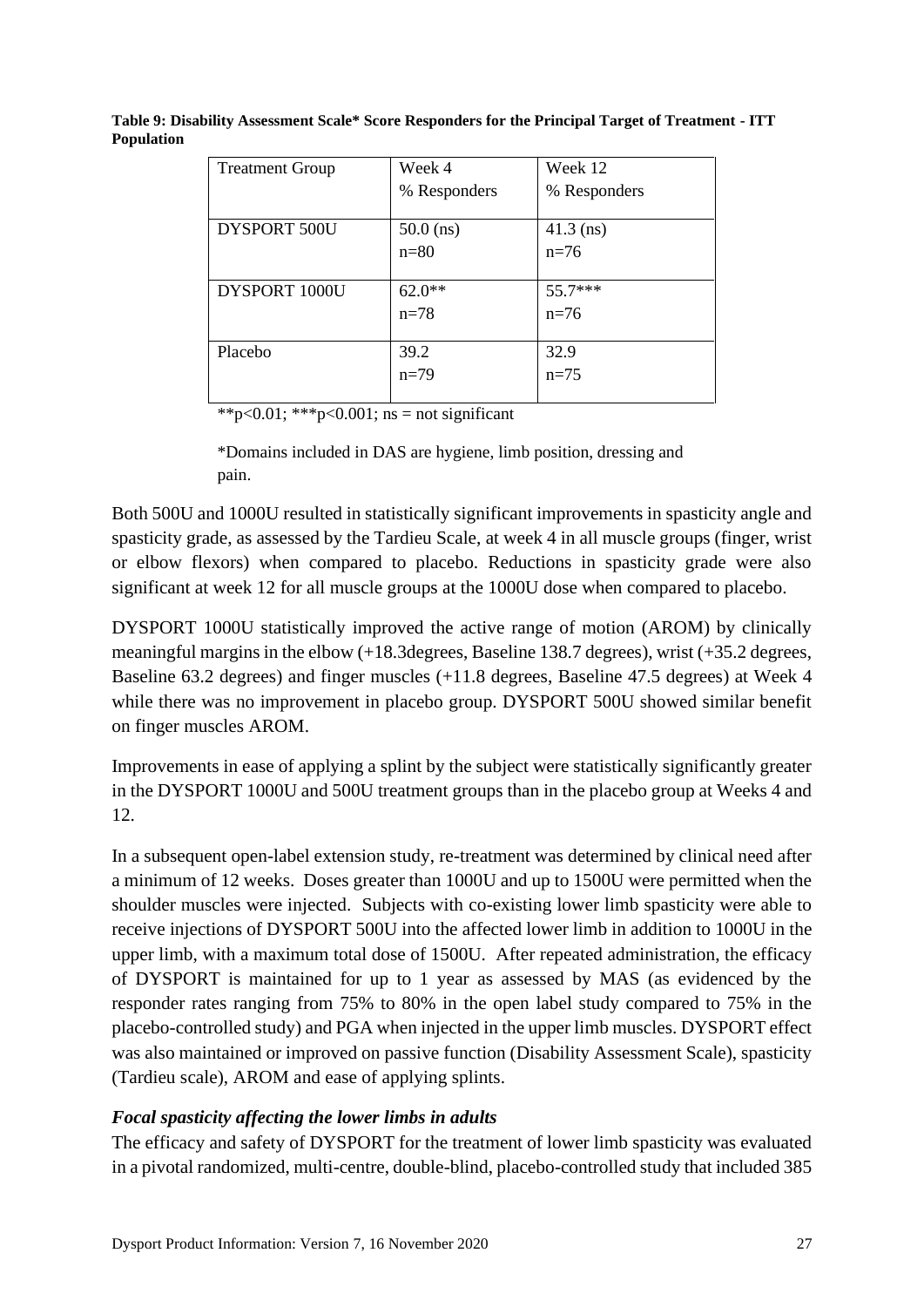| <b>Treatment Group</b> | Week 4       | Week 12      |
|------------------------|--------------|--------------|
|                        | % Responders | % Responders |
| DYSPORT 500U           | $50.0$ (ns)  | $41.3$ (ns)  |
|                        | $n=80$       | $n=76$       |
|                        |              |              |
| DYSPORT 1000U          | $62.0**$     | 55.7***      |
|                        | $n = 78$     | $n=76$       |
|                        |              |              |
| Placebo                | 39.2         | 32.9         |
|                        | $n=79$       | $n=75$       |
|                        |              |              |

**Table 9: Disability Assessment Scale\* Score Responders for the Principal Target of Treatment - ITT Population**

\*\*p<0.01; \*\*\*p<0.001; ns = not significant

\*Domains included in DAS are hygiene, limb position, dressing and pain.

Both 500U and 1000U resulted in statistically significant improvements in spasticity angle and spasticity grade, as assessed by the Tardieu Scale, at week 4 in all muscle groups (finger, wrist or elbow flexors) when compared to placebo. Reductions in spasticity grade were also significant at week 12 for all muscle groups at the 1000U dose when compared to placebo.

DYSPORT 1000U statistically improved the active range of motion (AROM) by clinically meaningful margins in the elbow (+18.3degrees, Baseline 138.7 degrees), wrist (+35.2 degrees, Baseline 63.2 degrees) and finger muscles (+11.8 degrees, Baseline 47.5 degrees) at Week 4 while there was no improvement in placebo group. DYSPORT 500U showed similar benefit on finger muscles AROM.

Improvements in ease of applying a splint by the subject were statistically significantly greater in the DYSPORT 1000U and 500U treatment groups than in the placebo group at Weeks 4 and 12.

In a subsequent open-label extension study, re-treatment was determined by clinical need after a minimum of 12 weeks. Doses greater than 1000U and up to 1500U were permitted when the shoulder muscles were injected. Subjects with co-existing lower limb spasticity were able to receive injections of DYSPORT 500U into the affected lower limb in addition to 1000U in the upper limb, with a maximum total dose of 1500U.After repeated administration, the efficacy of DYSPORT is maintained for up to 1 year as assessed by MAS (as evidenced by the responder rates ranging from 75% to 80% in the open label study compared to 75% in the placebo-controlled study) and PGA when injected in the upper limb muscles. DYSPORT effect was also maintained or improved on passive function (Disability Assessment Scale), spasticity (Tardieu scale), AROM and ease of applying splints.

## *Focal spasticity affecting the lower limbs in adults*

The efficacy and safety of DYSPORT for the treatment of lower limb spasticity was evaluated in a pivotal randomized, multi-centre, double-blind, placebo-controlled study that included 385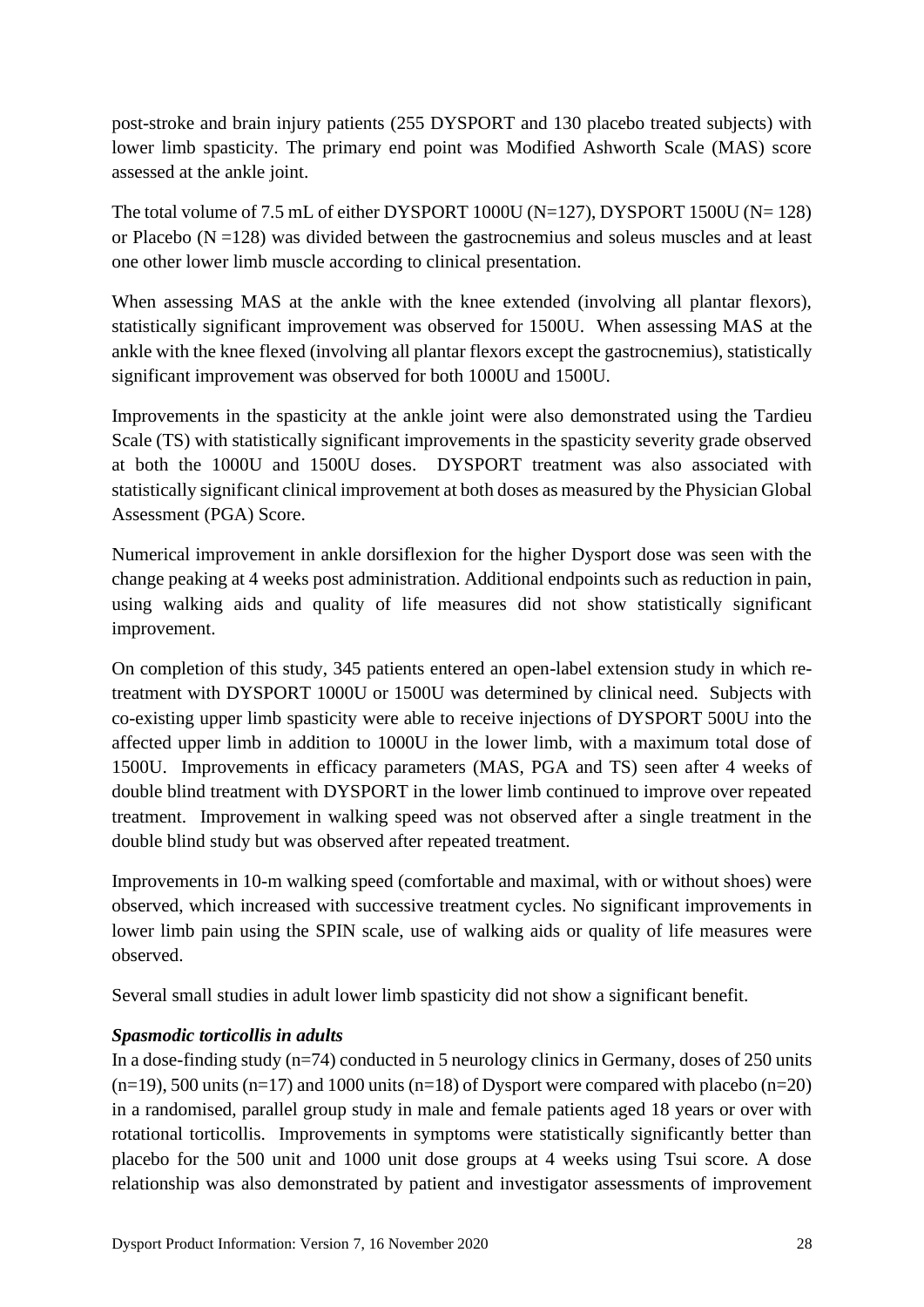post-stroke and brain injury patients (255 DYSPORT and 130 placebo treated subjects) with lower limb spasticity. The primary end point was Modified Ashworth Scale (MAS) score assessed at the ankle joint.

The total volume of 7.5 mL of either DYSPORT 1000U (N=127), DYSPORT 1500U (N= 128) or Placebo ( $N = 128$ ) was divided between the gastrocnemius and soleus muscles and at least one other lower limb muscle according to clinical presentation.

When assessing MAS at the ankle with the knee extended (involving all plantar flexors), statistically significant improvement was observed for 1500U. When assessing MAS at the ankle with the knee flexed (involving all plantar flexors except the gastrocnemius), statistically significant improvement was observed for both 1000U and 1500U.

Improvements in the spasticity at the ankle joint were also demonstrated using the Tardieu Scale (TS) with statistically significant improvements in the spasticity severity grade observed at both the 1000U and 1500U doses. DYSPORT treatment was also associated with statistically significant clinical improvement at both doses as measured by the Physician Global Assessment (PGA) Score.

Numerical improvement in ankle dorsiflexion for the higher Dysport dose was seen with the change peaking at 4 weeks post administration. Additional endpoints such as reduction in pain, using walking aids and quality of life measures did not show statistically significant improvement.

On completion of this study, 345 patients entered an open-label extension study in which retreatment with DYSPORT 1000U or 1500U was determined by clinical need. Subjects with co-existing upper limb spasticity were able to receive injections of DYSPORT 500U into the affected upper limb in addition to 1000U in the lower limb, with a maximum total dose of 1500U. Improvements in efficacy parameters (MAS, PGA and TS) seen after 4 weeks of double blind treatment with DYSPORT in the lower limb continued to improve over repeated treatment. Improvement in walking speed was not observed after a single treatment in the double blind study but was observed after repeated treatment.

Improvements in 10-m walking speed (comfortable and maximal, with or without shoes) were observed, which increased with successive treatment cycles. No significant improvements in lower limb pain using the SPIN scale, use of walking aids or quality of life measures were observed.

Several small studies in adult lower limb spasticity did not show a significant benefit.

# *Spasmodic torticollis in adults*

In a dose-finding study (n=74) conducted in 5 neurology clinics in Germany, doses of 250 units  $(n=19)$ , 500 units  $(n=17)$  and 1000 units  $(n=18)$  of Dysport were compared with placebo  $(n=20)$ in a randomised, parallel group study in male and female patients aged 18 years or over with rotational torticollis. Improvements in symptoms were statistically significantly better than placebo for the 500 unit and 1000 unit dose groups at 4 weeks using Tsui score. A dose relationship was also demonstrated by patient and investigator assessments of improvement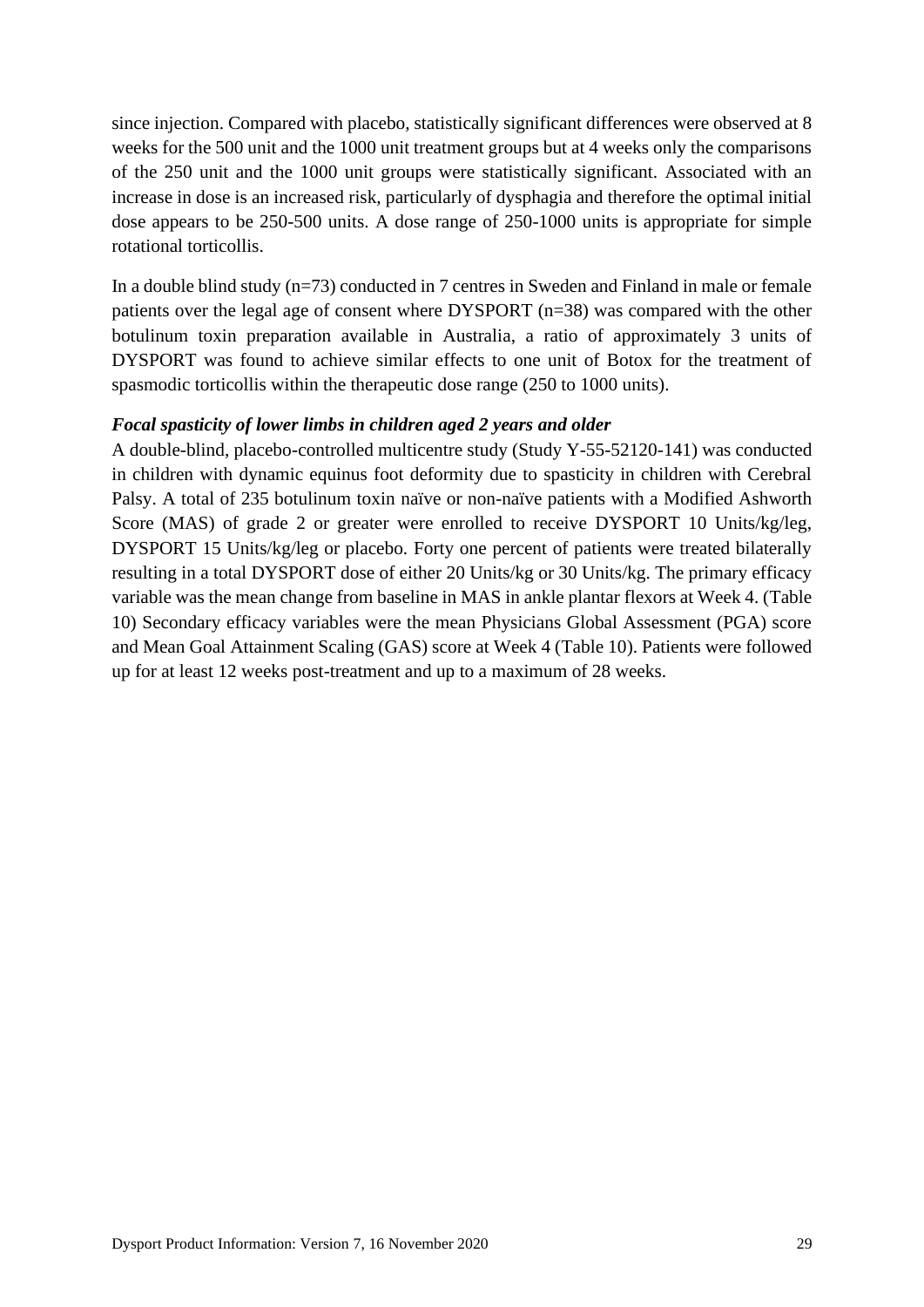since injection. Compared with placebo, statistically significant differences were observed at 8 weeks for the 500 unit and the 1000 unit treatment groups but at 4 weeks only the comparisons of the 250 unit and the 1000 unit groups were statistically significant. Associated with an increase in dose is an increased risk, particularly of dysphagia and therefore the optimal initial dose appears to be 250-500 units. A dose range of 250-1000 units is appropriate for simple rotational torticollis.

In a double blind study (n=73) conducted in 7 centres in Sweden and Finland in male or female patients over the legal age of consent where DYSPORT (n=38) was compared with the other botulinum toxin preparation available in Australia, a ratio of approximately 3 units of DYSPORT was found to achieve similar effects to one unit of Botox for the treatment of spasmodic torticollis within the therapeutic dose range (250 to 1000 units).

### *Focal spasticity of lower limbs in children aged 2 years and older*

A double-blind, placebo-controlled multicentre study (Study Y-55-52120-141) was conducted in children with dynamic equinus foot deformity due to spasticity in children with Cerebral Palsy. A total of 235 botulinum toxin naïve or non-naïve patients with a Modified Ashworth Score (MAS) of grade 2 or greater were enrolled to receive DYSPORT 10 Units/kg/leg, DYSPORT 15 Units/kg/leg or placebo. Forty one percent of patients were treated bilaterally resulting in a total DYSPORT dose of either 20 Units/kg or 30 Units/kg. The primary efficacy variable was the mean change from baseline in MAS in ankle plantar flexors at Week 4. [\(Table](#page-29-0)  [10\)](#page-29-0) Secondary efficacy variables were the mean Physicians Global Assessment (PGA) score and Mean Goal Attainment Scaling (GAS) score at Week 4 [\(Table 10\)](#page-29-0). Patients were followed up for at least 12 weeks post-treatment and up to a maximum of 28 weeks.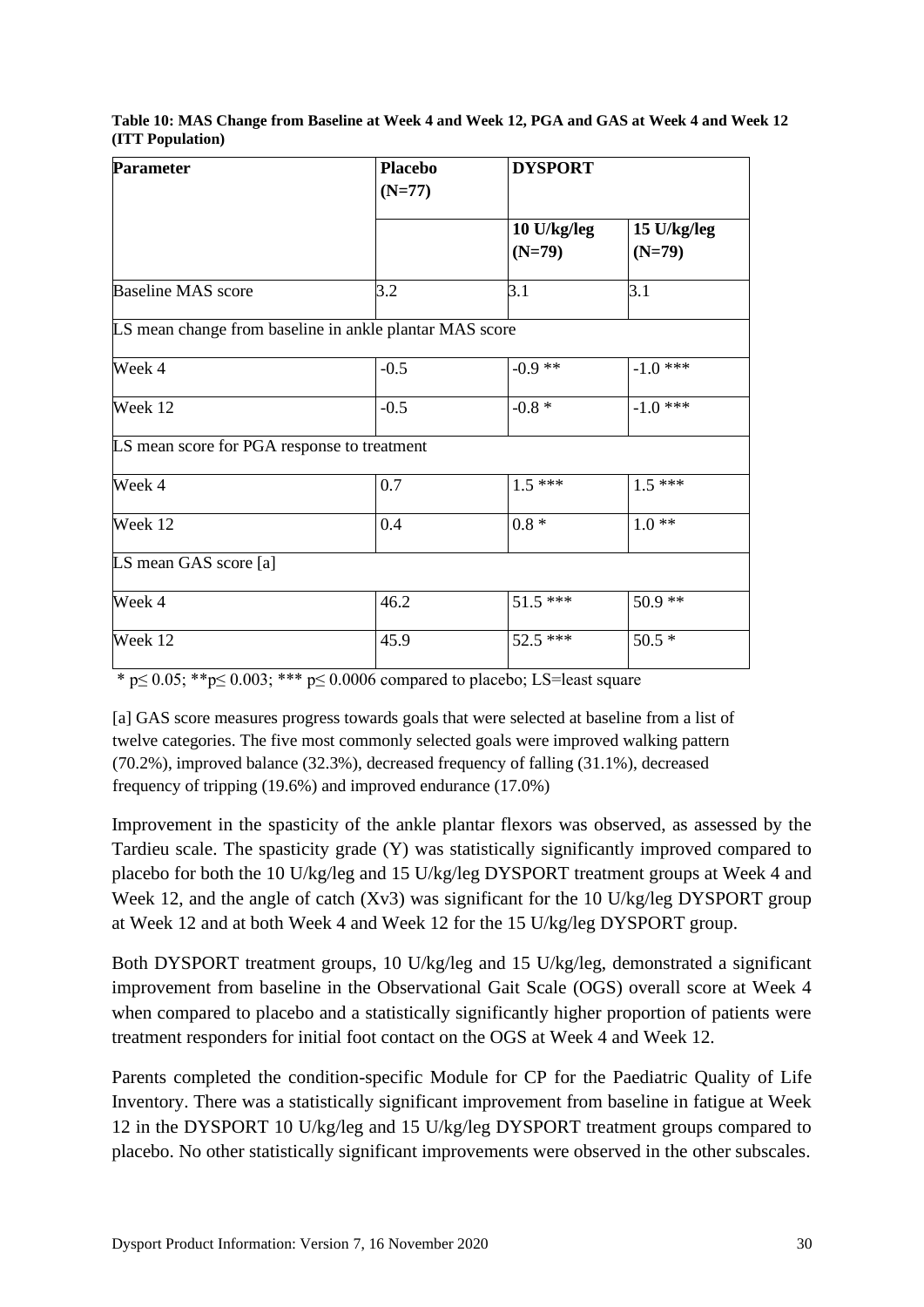<span id="page-29-0"></span>

| Table 10: MAS Change from Baseline at Week 4 and Week 12, PGA and GAS at Week 4 and Week 12 |  |  |
|---------------------------------------------------------------------------------------------|--|--|
| (ITT Population)                                                                            |  |  |

| <b>Parameter</b>                                        | <b>Placebo</b> | <b>DYSPORT</b> |               |  |
|---------------------------------------------------------|----------------|----------------|---------------|--|
|                                                         | $(N=77)$       |                |               |  |
|                                                         |                | $10$ U/kg/leg  | $15$ U/kg/leg |  |
|                                                         |                | $(N=79)$       | $(N=79)$      |  |
| <b>Baseline MAS score</b>                               | 3.2            | 3.1            | 3.1           |  |
| LS mean change from baseline in ankle plantar MAS score |                |                |               |  |
| Week 4                                                  | $-0.5$         | $-0.9**$       | $-1.0$ ***    |  |
| Week 12                                                 | $-0.5$         | $-0.8 *$       | $-1.0$ ***    |  |
| LS mean score for PGA response to treatment             |                |                |               |  |
| Week 4                                                  | 0.7            | $1.5***$       | $1.5***$      |  |
| Week 12                                                 | 0.4            | $0.8 *$        | $1.0**$       |  |
| LS mean GAS score [a]                                   |                |                |               |  |
| Week 4                                                  | 46.2           | $51.5***$      | $50.9**$      |  |
| Week 12                                                 | 45.9           | 52.5 ***       | $50.5*$       |  |

\* p≤ 0.05; \*\*p≤ 0.003; \*\*\* p≤ 0.0006 compared to placebo; LS=least square

[a] GAS score measures progress towards goals that were selected at baseline from a list of twelve categories. The five most commonly selected goals were improved walking pattern (70.2%), improved balance (32.3%), decreased frequency of falling (31.1%), decreased frequency of tripping (19.6%) and improved endurance (17.0%)

Improvement in the spasticity of the ankle plantar flexors was observed, as assessed by the Tardieu scale. The spasticity grade (Y) was statistically significantly improved compared to placebo for both the 10 U/kg/leg and 15 U/kg/leg DYSPORT treatment groups at Week 4 and Week 12, and the angle of catch (Xv3) was significant for the 10 U/kg/leg DYSPORT group at Week 12 and at both Week 4 and Week 12 for the 15 U/kg/leg DYSPORT group.

Both DYSPORT treatment groups, 10 U/kg/leg and 15 U/kg/leg, demonstrated a significant improvement from baseline in the Observational Gait Scale (OGS) overall score at Week 4 when compared to placebo and a statistically significantly higher proportion of patients were treatment responders for initial foot contact on the OGS at Week 4 and Week 12.

Parents completed the condition-specific Module for CP for the Paediatric Quality of Life Inventory. There was a statistically significant improvement from baseline in fatigue at Week 12 in the DYSPORT 10 U/kg/leg and 15 U/kg/leg DYSPORT treatment groups compared to placebo. No other statistically significant improvements were observed in the other subscales.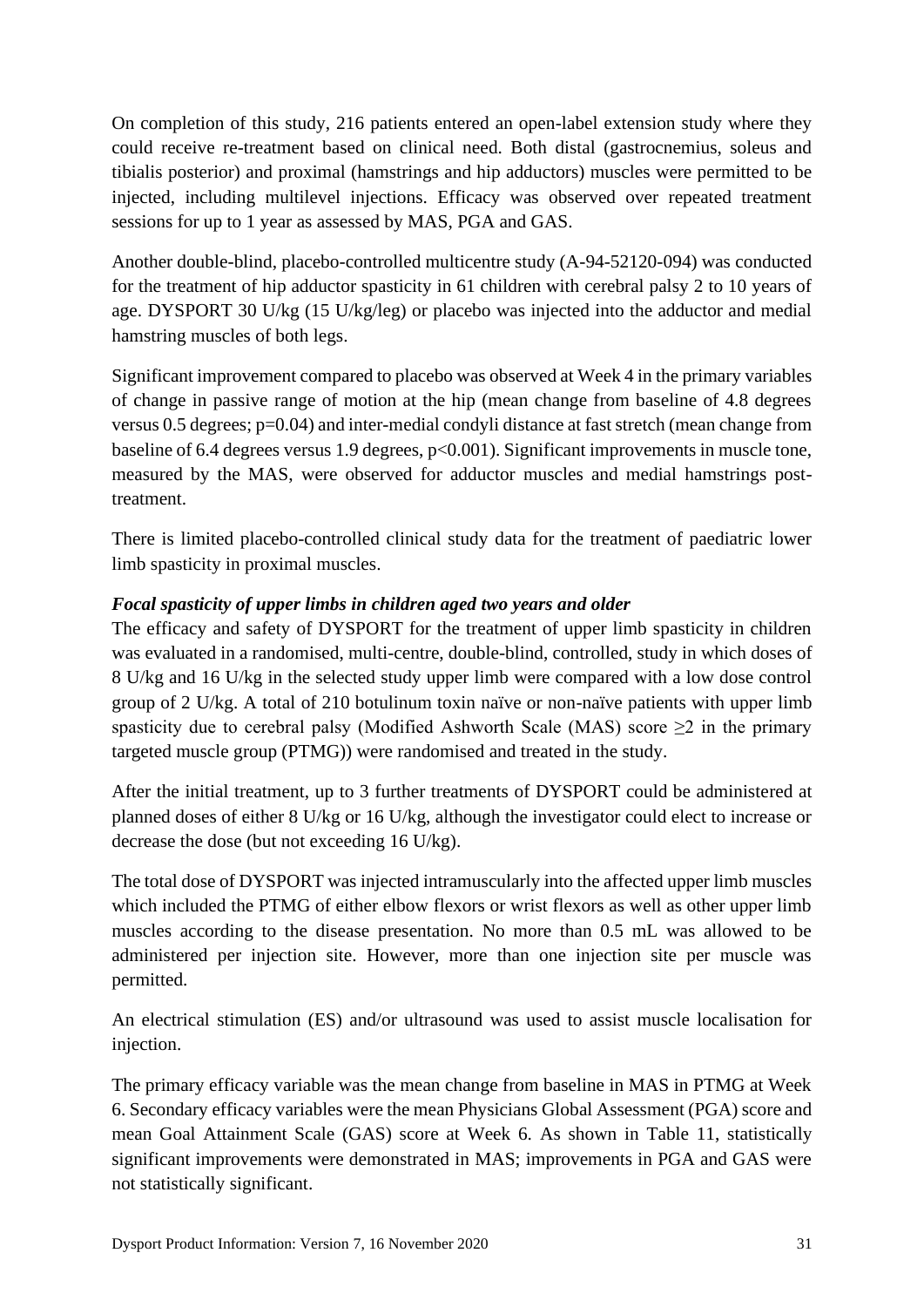On completion of this study, 216 patients entered an open-label extension study where they could receive re-treatment based on clinical need. Both distal (gastrocnemius, soleus and tibialis posterior) and proximal (hamstrings and hip adductors) muscles were permitted to be injected, including multilevel injections. Efficacy was observed over repeated treatment sessions for up to 1 year as assessed by MAS, PGA and GAS.

Another double-blind, placebo-controlled multicentre study (A-94-52120-094) was conducted for the treatment of hip adductor spasticity in 61 children with cerebral palsy 2 to 10 years of age. DYSPORT 30 U/kg (15 U/kg/leg) or placebo was injected into the adductor and medial hamstring muscles of both legs.

Significant improvement compared to placebo was observed at Week 4 in the primary variables of change in passive range of motion at the hip (mean change from baseline of 4.8 degrees versus 0.5 degrees; p=0.04) and inter-medial condyli distance at fast stretch (mean change from baseline of 6.4 degrees versus 1.9 degrees, p<0.001). Significant improvements in muscle tone, measured by the MAS, were observed for adductor muscles and medial hamstrings posttreatment.

There is limited placebo-controlled clinical study data for the treatment of paediatric lower limb spasticity in proximal muscles.

# *Focal spasticity of upper limbs in children aged two years and older*

The efficacy and safety of DYSPORT for the treatment of upper limb spasticity in children was evaluated in a randomised, multi-centre, double-blind, controlled, study in which doses of 8 U/kg and 16 U/kg in the selected study upper limb were compared with a low dose control group of 2 U/kg. A total of 210 botulinum toxin naïve or non-naïve patients with upper limb spasticity due to cerebral palsy (Modified Ashworth Scale (MAS) score  $\geq 2$  in the primary targeted muscle group (PTMG)) were randomised and treated in the study.

After the initial treatment, up to 3 further treatments of DYSPORT could be administered at planned doses of either 8 U/kg or 16 U/kg, although the investigator could elect to increase or decrease the dose (but not exceeding 16 U/kg).

The total dose of DYSPORT was injected intramuscularly into the affected upper limb muscles which included the PTMG of either elbow flexors or wrist flexors as well as other upper limb muscles according to the disease presentation. No more than 0.5 mL was allowed to be administered per injection site. However, more than one injection site per muscle was permitted.

An electrical stimulation (ES) and/or ultrasound was used to assist muscle localisation for injection.

The primary efficacy variable was the mean change from baseline in MAS in PTMG at Week 6. Secondary efficacy variables were the mean Physicians Global Assessment (PGA) score and mean Goal Attainment Scale (GAS) score at Week 6. As shown in [Table 11,](#page-31-0) statistically significant improvements were demonstrated in MAS; improvements in PGA and GAS were not statistically significant.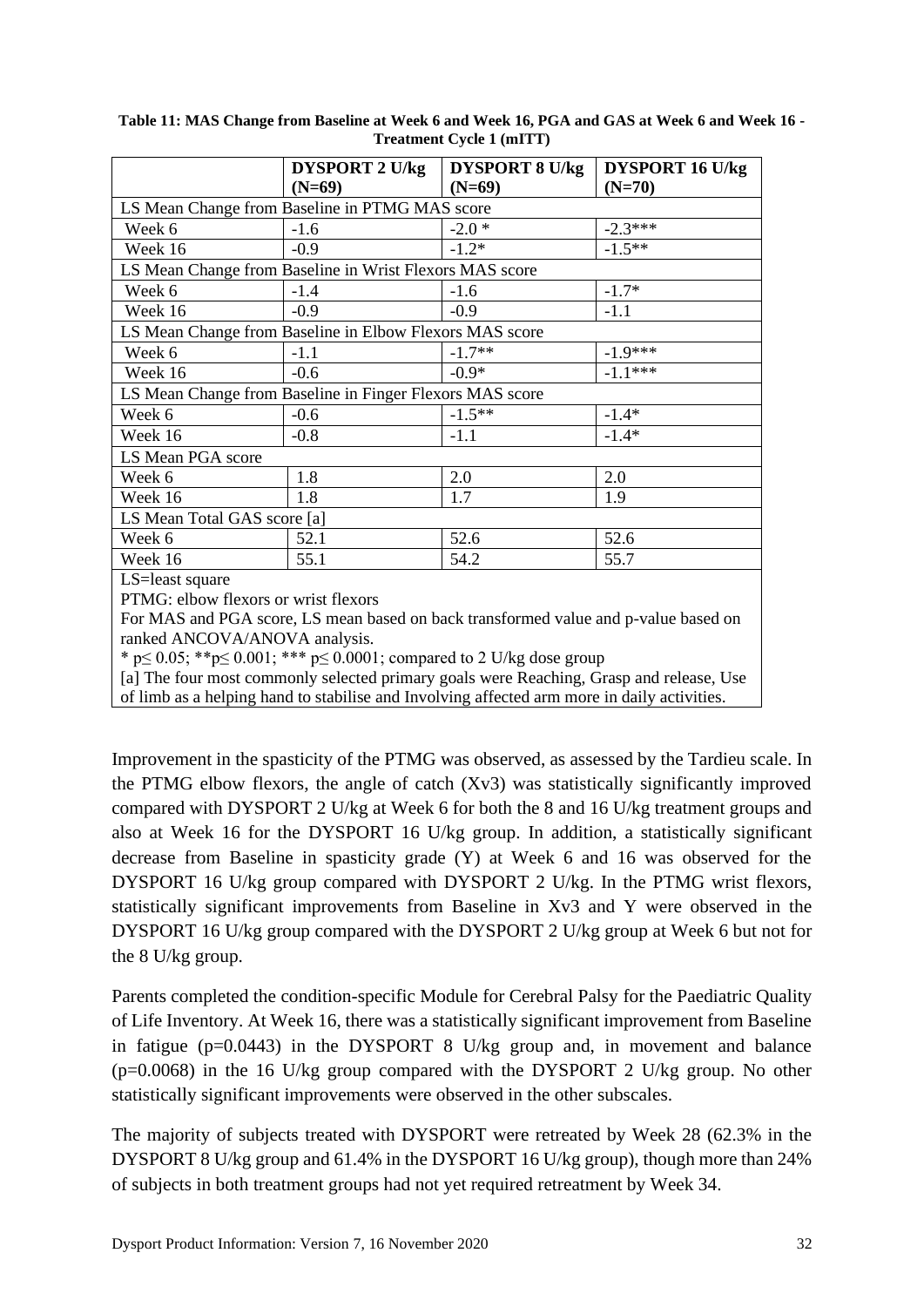|                                                          | <b>DYSPORT 2 U/kg</b> | <b>DYSPORT 8 U/kg</b> | <b>DYSPORT 16 U/kg</b> |  |  |
|----------------------------------------------------------|-----------------------|-----------------------|------------------------|--|--|
|                                                          | $(N=69)$              | $(N=69)$              | $(N=70)$               |  |  |
| LS Mean Change from Baseline in PTMG MAS score           |                       |                       |                        |  |  |
| Week 6                                                   | $-1.6$                | $-2.0*$               | $-2.3***$              |  |  |
| Week 16                                                  | $-0.9$                | $-1.2*$               | $-1.5***$              |  |  |
| LS Mean Change from Baseline in Wrist Flexors MAS score  |                       |                       |                        |  |  |
| Week 6                                                   | $-1.4$                | $-1.6$                | $-1.7*$                |  |  |
| Week 16                                                  | $-0.9$                | $-0.9$                | $-1.1$                 |  |  |
| LS Mean Change from Baseline in Elbow Flexors MAS score  |                       |                       |                        |  |  |
| Week 6                                                   | $-1.1$                | $-1.7**$              | $-1.9***$              |  |  |
| Week 16                                                  | $-0.6$                | $-0.9*$               | $-1.1***$              |  |  |
| LS Mean Change from Baseline in Finger Flexors MAS score |                       |                       |                        |  |  |
| Week 6                                                   | $-0.6$                | $-1.5**$              | $-1.4*$                |  |  |
| Week 16                                                  | $-0.8$                | $-1.1$                | $-1.4*$                |  |  |
| LS Mean PGA score                                        |                       |                       |                        |  |  |
| Week 6                                                   | 1.8                   | 2.0                   | 2.0                    |  |  |
| Week 16                                                  | 1.8                   | 1.7                   | 1.9                    |  |  |
| LS Mean Total GAS score [a]                              |                       |                       |                        |  |  |
| Week 6                                                   | 52.1                  | 52.6                  | 52.6                   |  |  |
| Week 16                                                  | 55.1                  | 54.2                  | 55.7                   |  |  |
| LS=least square                                          |                       |                       |                        |  |  |
| $PTMG$ elbow flexors or wrist flexors                    |                       |                       |                        |  |  |

<span id="page-31-0"></span>**Table 11: MAS Change from Baseline at Week 6 and Week 16, PGA and GAS at Week 6 and Week 16 - Treatment Cycle 1 (mITT)**

elbow flexors or wrist flexors

For MAS and PGA score, LS mean based on back transformed value and p-value based on ranked ANCOVA/ANOVA analysis.

\* p  $\leq 0.05$ ; \*\*p  $\leq 0.001$ ; \*\*\* p  $\leq 0.0001$ ; compared to 2 U/kg dose group

 $[a]$  The four most commonly selected primary goals were Reaching, Grasp and release, Use of limb as a helping hand to stabilise and Involving affected arm more in daily activities.

Improvement in the spasticity of the PTMG was observed, as assessed by the Tardieu scale. In the PTMG elbow flexors, the angle of catch (Xv3) was statistically significantly improved compared with DYSPORT 2 U/kg at Week 6 for both the 8 and 16 U/kg treatment groups and also at Week 16 for the DYSPORT 16 U/kg group. In addition, a statistically significant decrease from Baseline in spasticity grade (Y) at Week 6 and 16 was observed for the DYSPORT 16 U/kg group compared with DYSPORT 2 U/kg. In the PTMG wrist flexors, statistically significant improvements from Baseline in Xv3 and Y were observed in the DYSPORT 16 U/kg group compared with the DYSPORT 2 U/kg group at Week 6 but not for the 8 U/kg group.

Parents completed the condition-specific Module for Cerebral Palsy for the Paediatric Quality of Life Inventory. At Week 16, there was a statistically significant improvement from Baseline in fatigue (p=0.0443) in the DYSPORT 8 U/kg group and, in movement and balance  $(p=0.0068)$  in the 16 U/kg group compared with the DYSPORT 2 U/kg group. No other statistically significant improvements were observed in the other subscales.

The majority of subjects treated with DYSPORT were retreated by Week 28 (62.3% in the DYSPORT 8 U/kg group and 61.4% in the DYSPORT 16 U/kg group), though more than 24% of subjects in both treatment groups had not yet required retreatment by Week 34.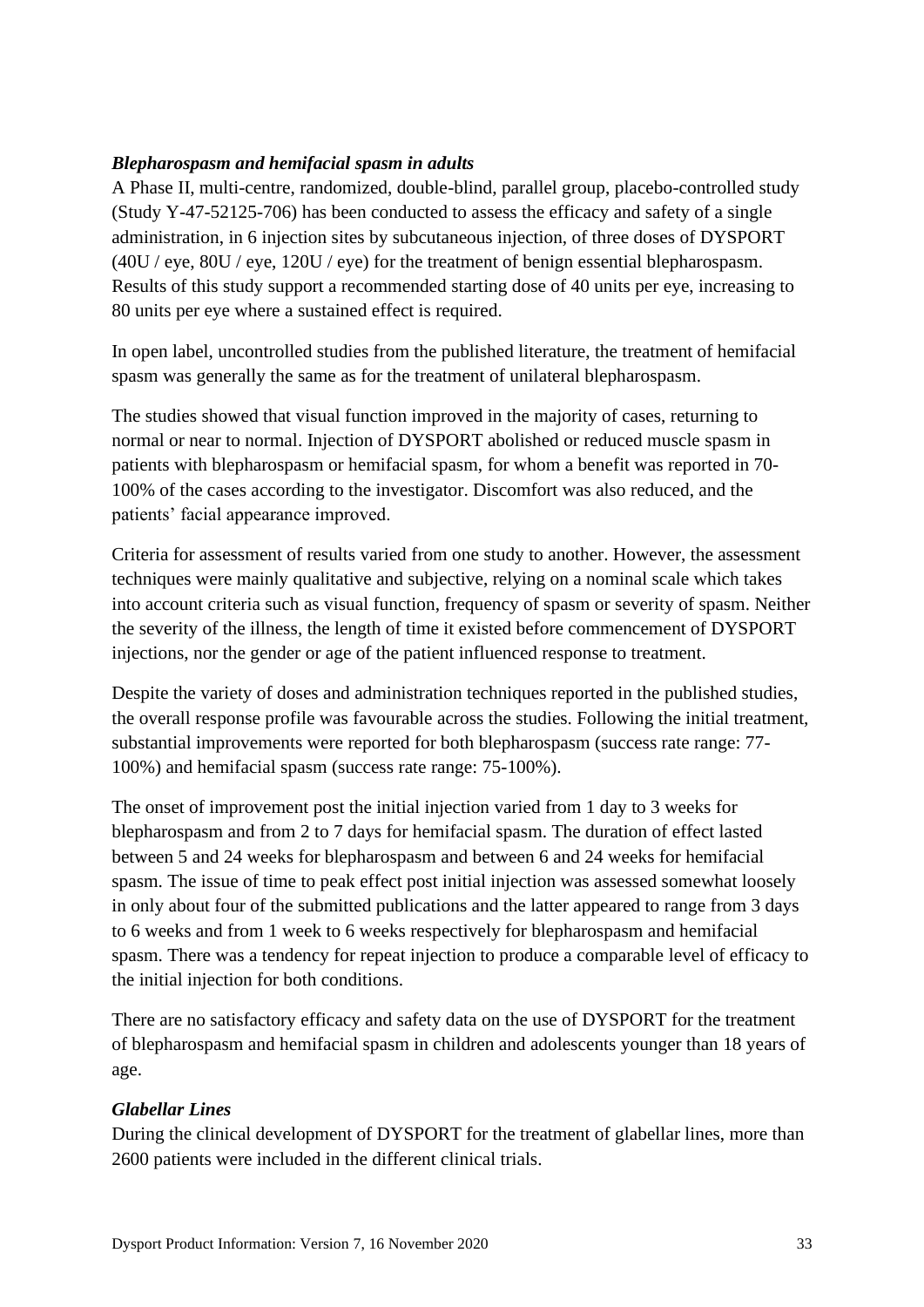## *Blepharospasm and hemifacial spasm in adults*

A Phase II, multi-centre, randomized, double-blind, parallel group, placebo-controlled study (Study Y-47-52125-706) has been conducted to assess the efficacy and safety of a single administration, in 6 injection sites by subcutaneous injection, of three doses of DYSPORT (40U / eye, 80U / eye, 120U / eye) for the treatment of benign essential blepharospasm. Results of this study support a recommended starting dose of 40 units per eye, increasing to 80 units per eye where a sustained effect is required.

In open label, uncontrolled studies from the published literature, the treatment of hemifacial spasm was generally the same as for the treatment of unilateral blepharospasm.

The studies showed that visual function improved in the majority of cases, returning to normal or near to normal. Injection of DYSPORT abolished or reduced muscle spasm in patients with blepharospasm or hemifacial spasm, for whom a benefit was reported in 70- 100% of the cases according to the investigator. Discomfort was also reduced, and the patients' facial appearance improved.

Criteria for assessment of results varied from one study to another. However, the assessment techniques were mainly qualitative and subjective, relying on a nominal scale which takes into account criteria such as visual function, frequency of spasm or severity of spasm. Neither the severity of the illness, the length of time it existed before commencement of DYSPORT injections, nor the gender or age of the patient influenced response to treatment.

Despite the variety of doses and administration techniques reported in the published studies, the overall response profile was favourable across the studies. Following the initial treatment, substantial improvements were reported for both blepharospasm (success rate range: 77- 100%) and hemifacial spasm (success rate range: 75-100%).

The onset of improvement post the initial injection varied from 1 day to 3 weeks for blepharospasm and from 2 to 7 days for hemifacial spasm. The duration of effect lasted between 5 and 24 weeks for blepharospasm and between 6 and 24 weeks for hemifacial spasm. The issue of time to peak effect post initial injection was assessed somewhat loosely in only about four of the submitted publications and the latter appeared to range from 3 days to 6 weeks and from 1 week to 6 weeks respectively for blepharospasm and hemifacial spasm. There was a tendency for repeat injection to produce a comparable level of efficacy to the initial injection for both conditions.

There are no satisfactory efficacy and safety data on the use of DYSPORT for the treatment of blepharospasm and hemifacial spasm in children and adolescents younger than 18 years of age.

## *Glabellar Lines*

During the clinical development of DYSPORT for the treatment of glabellar lines, more than 2600 patients were included in the different clinical trials.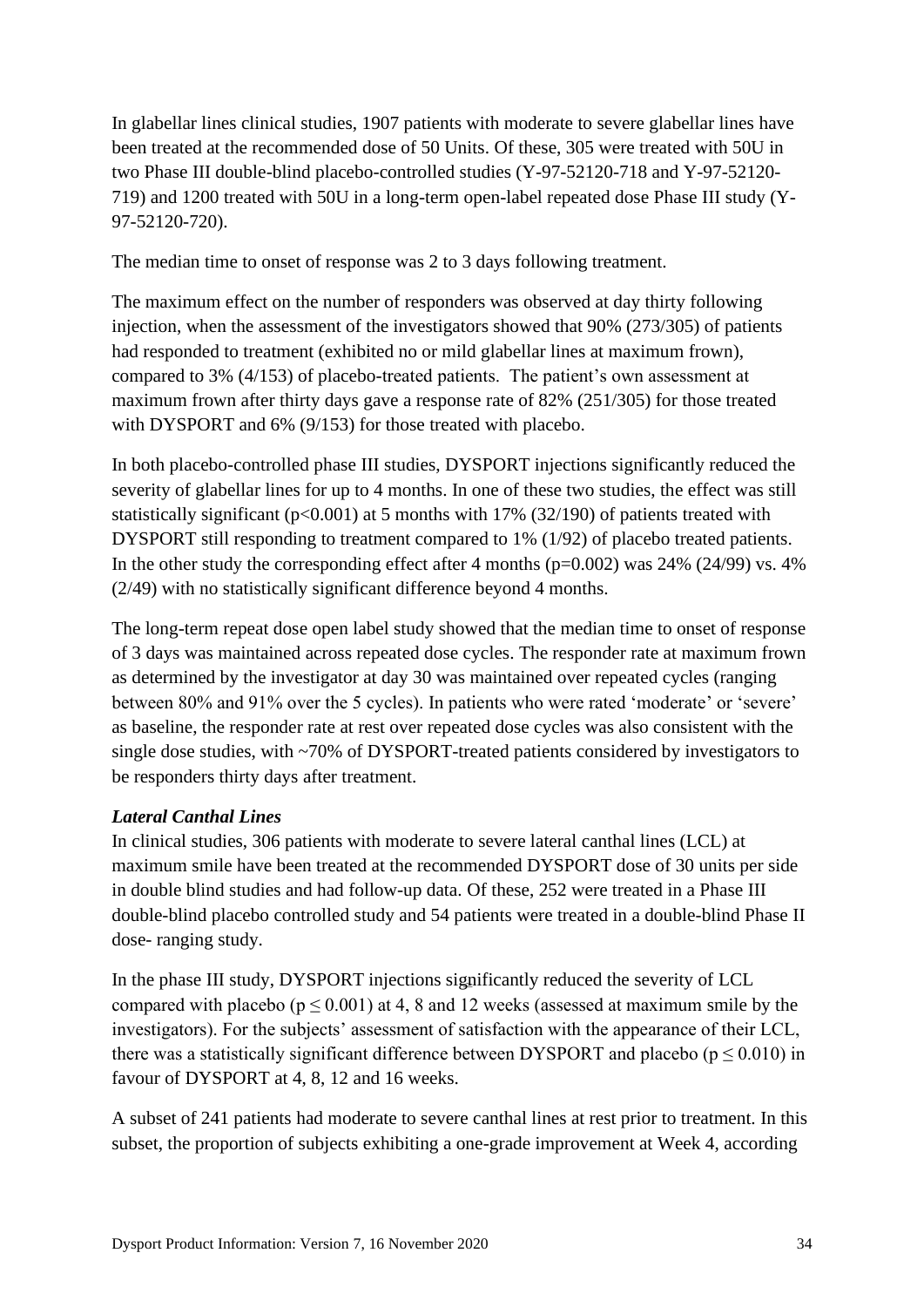In glabellar lines clinical studies, 1907 patients with moderate to severe glabellar lines have been treated at the recommended dose of 50 Units. Of these, 305 were treated with 50U in two Phase III double-blind placebo-controlled studies (Y-97-52120-718 and Y-97-52120- 719) and 1200 treated with 50U in a long-term open-label repeated dose Phase III study (Y-97-52120-720).

The median time to onset of response was 2 to 3 days following treatment.

The maximum effect on the number of responders was observed at day thirty following injection, when the assessment of the investigators showed that 90% (273/305) of patients had responded to treatment (exhibited no or mild glabellar lines at maximum frown), compared to 3% (4/153) of placebo-treated patients. The patient's own assessment at maximum frown after thirty days gave a response rate of 82% (251/305) for those treated with DYSPORT and 6% (9/153) for those treated with placebo.

In both placebo-controlled phase III studies, DYSPORT injections significantly reduced the severity of glabellar lines for up to 4 months. In one of these two studies, the effect was still statistically significant ( $p<0.001$ ) at 5 months with 17% (32/190) of patients treated with DYSPORT still responding to treatment compared to 1% (1/92) of placebo treated patients. In the other study the corresponding effect after 4 months (p=0.002) was 24% (24/99) vs. 4% (2/49) with no statistically significant difference beyond 4 months.

The long-term repeat dose open label study showed that the median time to onset of response of 3 days was maintained across repeated dose cycles. The responder rate at maximum frown as determined by the investigator at day 30 was maintained over repeated cycles (ranging between 80% and 91% over the 5 cycles). In patients who were rated 'moderate' or 'severe' as baseline, the responder rate at rest over repeated dose cycles was also consistent with the single dose studies, with ~70% of DYSPORT-treated patients considered by investigators to be responders thirty days after treatment.

# *Lateral Canthal Lines*

In clinical studies, 306 patients with moderate to severe lateral canthal lines (LCL) at maximum smile have been treated at the recommended DYSPORT dose of 30 units per side in double blind studies and had follow-up data. Of these, 252 were treated in a Phase III double-blind placebo controlled study and 54 patients were treated in a double-blind Phase II dose- ranging study.

In the phase III study, DYSPORT injections significantly reduced the severity of LCL compared with placebo ( $p \le 0.001$ ) at 4, 8 and 12 weeks (assessed at maximum smile by the investigators). For the subjects' assessment of satisfaction with the appearance of their LCL, there was a statistically significant difference between DYSPORT and placebo ( $p \le 0.010$ ) in favour of DYSPORT at 4, 8, 12 and 16 weeks.

A subset of 241 patients had moderate to severe canthal lines at rest prior to treatment. In this subset, the proportion of subjects exhibiting a one-grade improvement at Week 4, according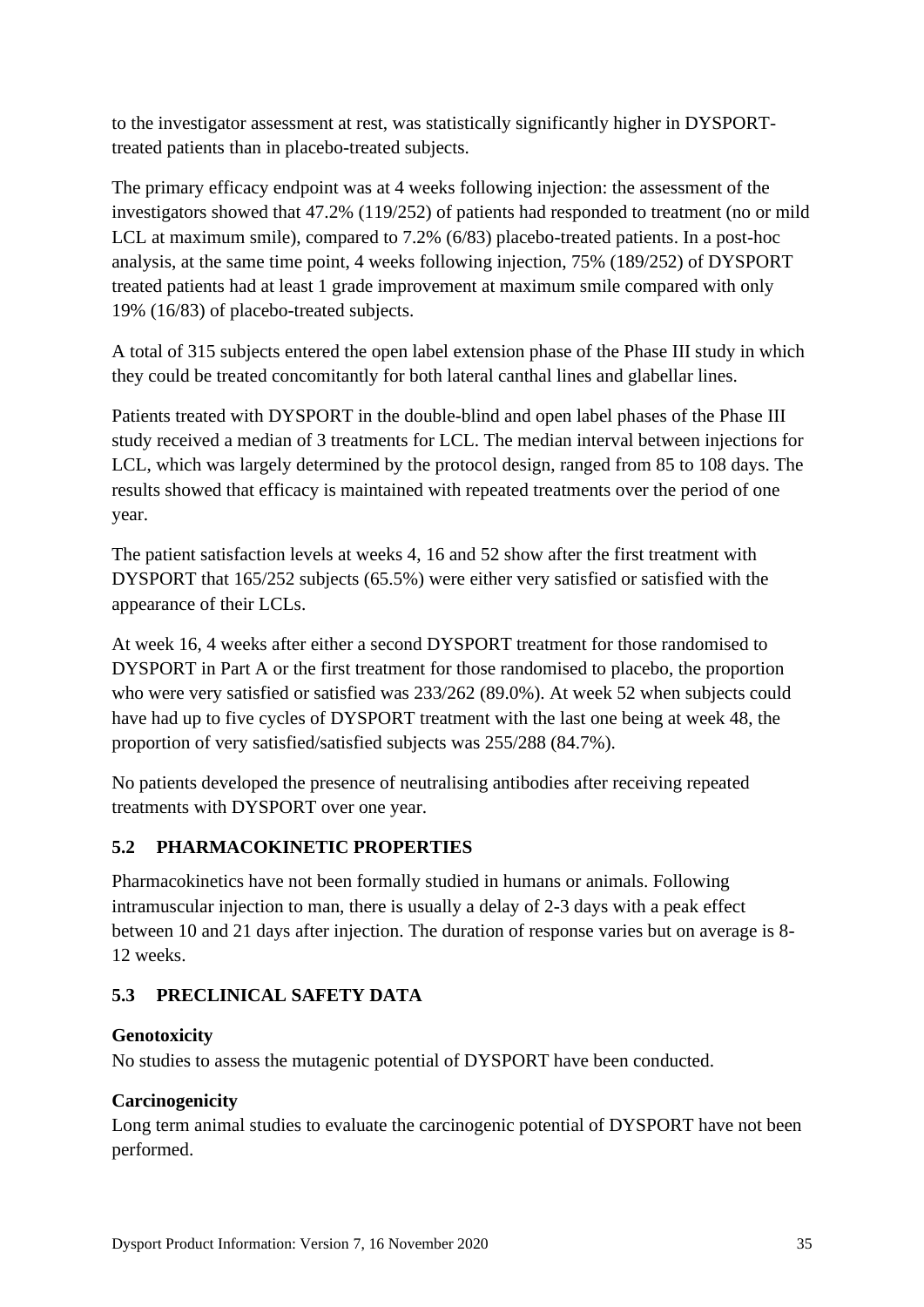to the investigator assessment at rest, was statistically significantly higher in DYSPORTtreated patients than in placebo-treated subjects.

The primary efficacy endpoint was at 4 weeks following injection: the assessment of the investigators showed that 47.2% (119/252) of patients had responded to treatment (no or mild LCL at maximum smile), compared to 7.2% (6/83) placebo-treated patients. In a post-hoc analysis, at the same time point, 4 weeks following injection, 75% (189/252) of DYSPORT treated patients had at least 1 grade improvement at maximum smile compared with only 19% (16/83) of placebo-treated subjects.

A total of 315 subjects entered the open label extension phase of the Phase III study in which they could be treated concomitantly for both lateral canthal lines and glabellar lines.

Patients treated with DYSPORT in the double-blind and open label phases of the Phase III study received a median of 3 treatments for LCL. The median interval between injections for LCL, which was largely determined by the protocol design, ranged from 85 to 108 days. The results showed that efficacy is maintained with repeated treatments over the period of one year.

The patient satisfaction levels at weeks 4, 16 and 52 show after the first treatment with DYSPORT that 165/252 subjects (65.5%) were either very satisfied or satisfied with the appearance of their LCLs.

At week 16, 4 weeks after either a second DYSPORT treatment for those randomised to DYSPORT in Part A or the first treatment for those randomised to placebo, the proportion who were very satisfied or satisfied was 233/262 (89.0%). At week 52 when subjects could have had up to five cycles of DYSPORT treatment with the last one being at week 48, the proportion of very satisfied/satisfied subjects was 255/288 (84.7%).

No patients developed the presence of neutralising antibodies after receiving repeated treatments with DYSPORT over one year.

# **5.2 PHARMACOKINETIC PROPERTIES**

Pharmacokinetics have not been formally studied in humans or animals. Following intramuscular injection to man, there is usually a delay of 2-3 days with a peak effect between 10 and 21 days after injection. The duration of response varies but on average is 8- 12 weeks.

# **5.3 PRECLINICAL SAFETY DATA**

# **Genotoxicity**

No studies to assess the mutagenic potential of DYSPORT have been conducted.

# **Carcinogenicity**

Long term animal studies to evaluate the carcinogenic potential of DYSPORT have not been performed.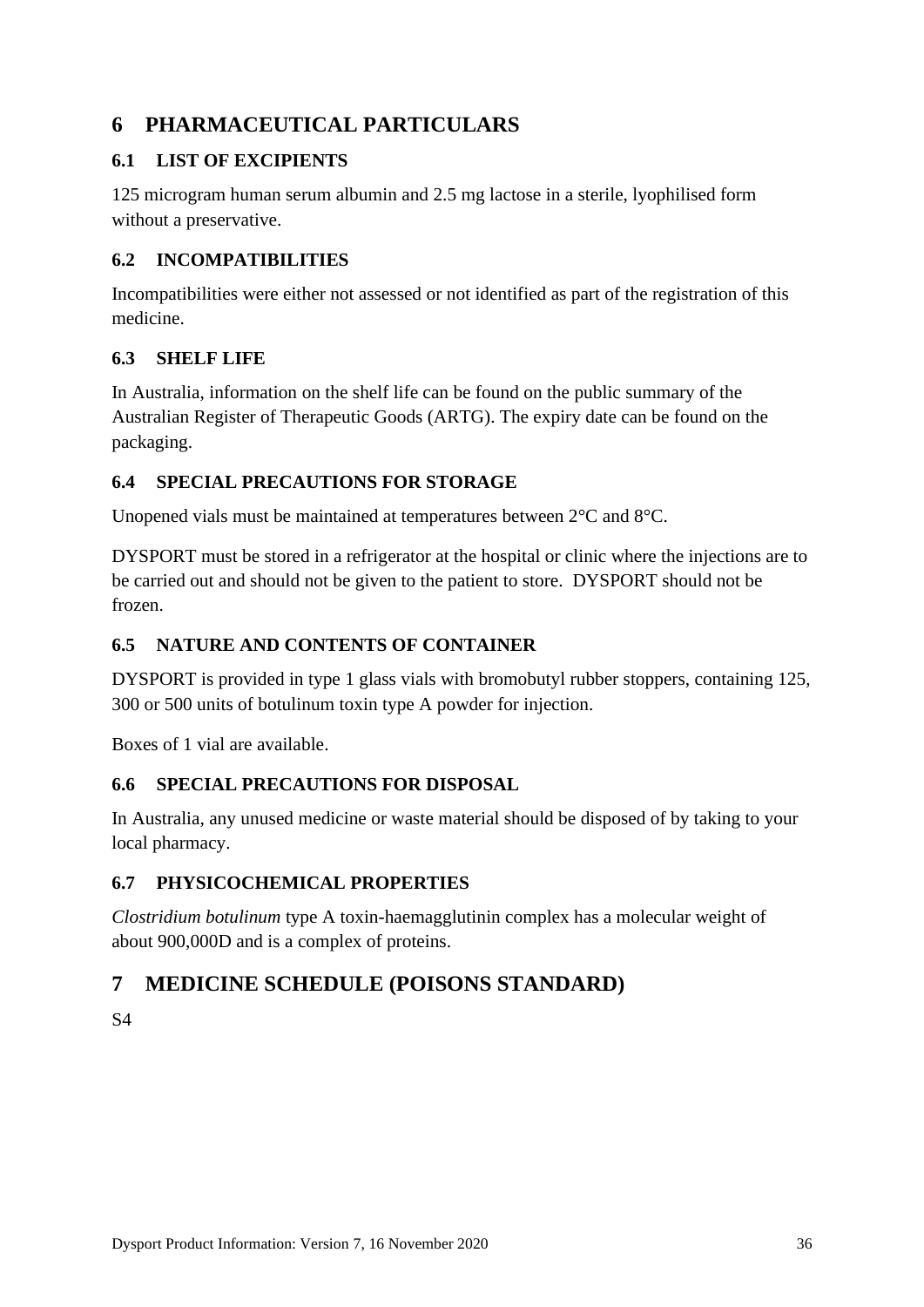# **6 PHARMACEUTICAL PARTICULARS**

# **6.1 LIST OF EXCIPIENTS**

125 microgram human serum albumin and 2.5 mg lactose in a sterile, lyophilised form without a preservative.

# **6.2 INCOMPATIBILITIES**

Incompatibilities were either not assessed or not identified as part of the registration of this medicine.

## **6.3 SHELF LIFE**

In Australia, information on the shelf life can be found on the public summary of the Australian Register of Therapeutic Goods (ARTG). The expiry date can be found on the packaging.

# **6.4 SPECIAL PRECAUTIONS FOR STORAGE**

Unopened vials must be maintained at temperatures between 2°C and 8°C.

DYSPORT must be stored in a refrigerator at the hospital or clinic where the injections are to be carried out and should not be given to the patient to store. DYSPORT should not be frozen.

# **6.5 NATURE AND CONTENTS OF CONTAINER**

DYSPORT is provided in type 1 glass vials with bromobutyl rubber stoppers, containing 125, 300 or 500 units of botulinum toxin type A powder for injection.

Boxes of 1 vial are available.

# **6.6 SPECIAL PRECAUTIONS FOR DISPOSAL**

In Australia, any unused medicine or waste material should be disposed of by taking to your local pharmacy.

# **6.7 PHYSICOCHEMICAL PROPERTIES**

*Clostridium botulinum* type A toxin-haemagglutinin complex has a molecular weight of about 900,000D and is a complex of proteins.

# **7 MEDICINE SCHEDULE (POISONS STANDARD)**

S4